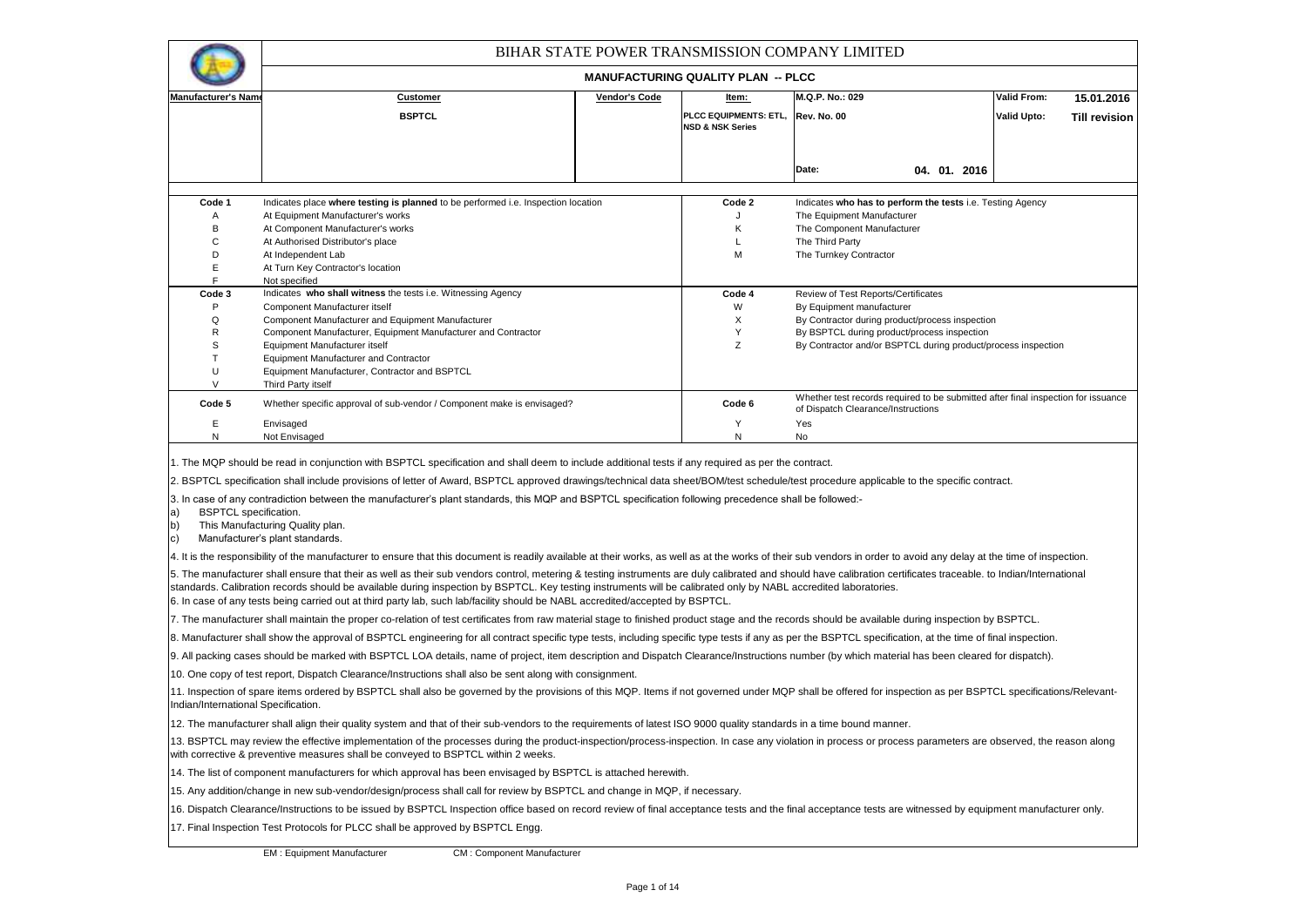|                                                                         |                                                                                                                                                                                                                                                                                                                                                                                                                                                                                                                                                                                 |               |                                                      | BIHAR STATE POWER TRANSMISSION COMPANY LIMITED                                                                          |                    |                      |
|-------------------------------------------------------------------------|---------------------------------------------------------------------------------------------------------------------------------------------------------------------------------------------------------------------------------------------------------------------------------------------------------------------------------------------------------------------------------------------------------------------------------------------------------------------------------------------------------------------------------------------------------------------------------|---------------|------------------------------------------------------|-------------------------------------------------------------------------------------------------------------------------|--------------------|----------------------|
|                                                                         |                                                                                                                                                                                                                                                                                                                                                                                                                                                                                                                                                                                 |               | <b>MANUFACTURING QUALITY PLAN -- PLCC</b>            |                                                                                                                         |                    |                      |
| <b>Manufacturer's Nam</b>                                               | <b>Customer</b>                                                                                                                                                                                                                                                                                                                                                                                                                                                                                                                                                                 | Vendor's Code | <u>ltem:</u>                                         | M.Q.P. No.: 029                                                                                                         | <b>Valid From:</b> | 15.01.2016           |
|                                                                         | <b>BSPTCL</b>                                                                                                                                                                                                                                                                                                                                                                                                                                                                                                                                                                   |               | PLCC EQUIPMENTS: ETL.<br><b>NSD &amp; NSK Series</b> | <b>Rev. No. 00</b>                                                                                                      | <b>Valid Upto:</b> | <b>Till revision</b> |
|                                                                         |                                                                                                                                                                                                                                                                                                                                                                                                                                                                                                                                                                                 |               |                                                      | Date:<br>04. 01. 2016                                                                                                   |                    |                      |
| Code 1                                                                  | Indicates place where testing is planned to be performed i.e. Inspection location                                                                                                                                                                                                                                                                                                                                                                                                                                                                                               |               | Code 2                                               | Indicates who has to perform the tests i.e. Testing Agency                                                              |                    |                      |
| Α                                                                       | At Equipment Manufacturer's works                                                                                                                                                                                                                                                                                                                                                                                                                                                                                                                                               |               |                                                      | The Equipment Manufacturer                                                                                              |                    |                      |
| B                                                                       | At Component Manufacturer's works                                                                                                                                                                                                                                                                                                                                                                                                                                                                                                                                               |               | Κ                                                    | The Component Manufacturer                                                                                              |                    |                      |
| C                                                                       | At Authorised Distributor's place                                                                                                                                                                                                                                                                                                                                                                                                                                                                                                                                               |               | L                                                    | The Third Party                                                                                                         |                    |                      |
| D                                                                       | At Independent Lab                                                                                                                                                                                                                                                                                                                                                                                                                                                                                                                                                              |               | М                                                    | The Turnkey Contractor                                                                                                  |                    |                      |
| E<br>F                                                                  | At Turn Key Contractor's location<br>Not specified                                                                                                                                                                                                                                                                                                                                                                                                                                                                                                                              |               |                                                      |                                                                                                                         |                    |                      |
| Code 3                                                                  | Indicates who shall witness the tests i.e. Witnessing Agency                                                                                                                                                                                                                                                                                                                                                                                                                                                                                                                    |               | Code 4                                               | Review of Test Reports/Certificates                                                                                     |                    |                      |
| P                                                                       | Component Manufacturer itself                                                                                                                                                                                                                                                                                                                                                                                                                                                                                                                                                   |               | W                                                    | By Equipment manufacturer                                                                                               |                    |                      |
| Q                                                                       | Component Manufacturer and Equipment Manufacturer                                                                                                                                                                                                                                                                                                                                                                                                                                                                                                                               |               | X                                                    | By Contractor during product/process inspection                                                                         |                    |                      |
| R                                                                       | Component Manufacturer, Equipment Manufacturer and Contractor                                                                                                                                                                                                                                                                                                                                                                                                                                                                                                                   |               | Υ                                                    | By BSPTCL during product/process inspection                                                                             |                    |                      |
| S                                                                       | Equipment Manufacturer itself                                                                                                                                                                                                                                                                                                                                                                                                                                                                                                                                                   |               | Z                                                    | By Contractor and/or BSPTCL during product/process inspection                                                           |                    |                      |
| T<br>Ù                                                                  | <b>Equipment Manufacturer and Contractor</b><br>Equipment Manufacturer, Contractor and BSPTCL                                                                                                                                                                                                                                                                                                                                                                                                                                                                                   |               |                                                      |                                                                                                                         |                    |                      |
| V                                                                       | Third Party itself                                                                                                                                                                                                                                                                                                                                                                                                                                                                                                                                                              |               |                                                      |                                                                                                                         |                    |                      |
| Code 5                                                                  | Whether specific approval of sub-vendor / Component make is envisaged?                                                                                                                                                                                                                                                                                                                                                                                                                                                                                                          |               | Code 6                                               | Whether test records required to be submitted after final inspection for issuance<br>of Dispatch Clearance/Instructions |                    |                      |
| Ε                                                                       | Envisaged                                                                                                                                                                                                                                                                                                                                                                                                                                                                                                                                                                       |               | Υ                                                    | Yes                                                                                                                     |                    |                      |
| N                                                                       | Not Envisaged                                                                                                                                                                                                                                                                                                                                                                                                                                                                                                                                                                   |               | N                                                    | No                                                                                                                      |                    |                      |
| <b>BSPTCL</b> specification.<br>a)<br>$\vert b \rangle$<br>$\mathsf{c}$ | 1. The MQP should be read in conjunction with BSPTCL specification and shall deem to include additional tests if any required as per the contract.<br>2. BSPTCL specification shall include provisions of letter of Award, BSPTCL approved drawings/technical data sheet/BOM/test schedule/test procedure applicable to the specific contract.<br>3. In case of any contradiction between the manufacturer's plant standards, this MQP and BSPTCL specification following precedence shall be followed:-<br>This Manufacturing Quality plan.<br>Manufacturer's plant standards. |               |                                                      |                                                                                                                         |                    |                      |
|                                                                         | 4. It is the responsibility of the manufacturer to ensure that this document is readily available at their works, as well as at the works of their sub vendors in order to avoid any delay at the time of inspection.                                                                                                                                                                                                                                                                                                                                                           |               |                                                      |                                                                                                                         |                    |                      |
|                                                                         | 5. The manufacturer shall ensure that their as well as their sub vendors control, metering & testing instruments are duly calibrated and should have calibration certificates traceable. to Indian/International<br>standards. Calibration records should be available during inspection by BSPTCL. Key testing instruments will be calibrated only by NABL accredited laboratories.<br>6. In case of any tests being carried out at third party lab, such lab/facility should be NABL accredited/accepted by BSPTCL.                                                           |               |                                                      |                                                                                                                         |                    |                      |
|                                                                         | 7. The manufacturer shall maintain the proper co-relation of test certificates from raw material stage to finished product stage and the records should be available during inspection by BSPTCL.                                                                                                                                                                                                                                                                                                                                                                               |               |                                                      |                                                                                                                         |                    |                      |
|                                                                         | 8. Manufacturer shall show the approval of BSPTCL engineering for all contract specific type tests, including specific type tests if any as per the BSPTCL specification, at the time of final inspection.                                                                                                                                                                                                                                                                                                                                                                      |               |                                                      |                                                                                                                         |                    |                      |
|                                                                         | 9. All packing cases should be marked with BSPTCL LOA details, name of project, item description and Dispatch Clearance/Instructions number (by which material has been cleared for dispatch).                                                                                                                                                                                                                                                                                                                                                                                  |               |                                                      |                                                                                                                         |                    |                      |
|                                                                         | 10. One copy of test report, Dispatch Clearance/Instructions shall also be sent along with consignment.                                                                                                                                                                                                                                                                                                                                                                                                                                                                         |               |                                                      |                                                                                                                         |                    |                      |
| Indian/International Specification.                                     | 11. Inspection of spare items ordered by BSPTCL shall also be governed by the provisions of this MQP. Items if not governed under MQP shall be offered for inspection as per BSPTCL specifications/Relevant-                                                                                                                                                                                                                                                                                                                                                                    |               |                                                      |                                                                                                                         |                    |                      |
|                                                                         | 12. The manufacturer shall align their quality system and that of their sub-vendors to the requirements of latest ISO 9000 quality standards in a time bound manner.                                                                                                                                                                                                                                                                                                                                                                                                            |               |                                                      |                                                                                                                         |                    |                      |
|                                                                         | 13. BSPTCL may review the effective implementation of the processes during the product-inspection/process-inspection. In case any violation in process or process parameters are observed, the reason along<br>with corrective & preventive measures shall be conveyed to BSPTCL within 2 weeks.                                                                                                                                                                                                                                                                                |               |                                                      |                                                                                                                         |                    |                      |
|                                                                         | 14. The list of component manufacturers for which approval has been envisaged by BSPTCL is attached herewith.                                                                                                                                                                                                                                                                                                                                                                                                                                                                   |               |                                                      |                                                                                                                         |                    |                      |
|                                                                         | 15. Any addition/change in new sub-vendor/design/process shall call for review by BSPTCL and change in MQP, if necessary.                                                                                                                                                                                                                                                                                                                                                                                                                                                       |               |                                                      |                                                                                                                         |                    |                      |
|                                                                         | 16. Dispatch Clearance/Instructions to be issued by BSPTCL Inspection office based on record review of final acceptance tests and the final acceptance tests are witnessed by equipment manufacturer only.                                                                                                                                                                                                                                                                                                                                                                      |               |                                                      |                                                                                                                         |                    |                      |
|                                                                         | 17. Final Inspection Test Protocols for PLCC shall be approved by BSPTCL Engg.                                                                                                                                                                                                                                                                                                                                                                                                                                                                                                  |               |                                                      |                                                                                                                         |                    |                      |
|                                                                         | <b>EM: Equipment Manufacturer</b><br><b>CM: Component Manufacturer</b>                                                                                                                                                                                                                                                                                                                                                                                                                                                                                                          |               |                                                      |                                                                                                                         |                    |                      |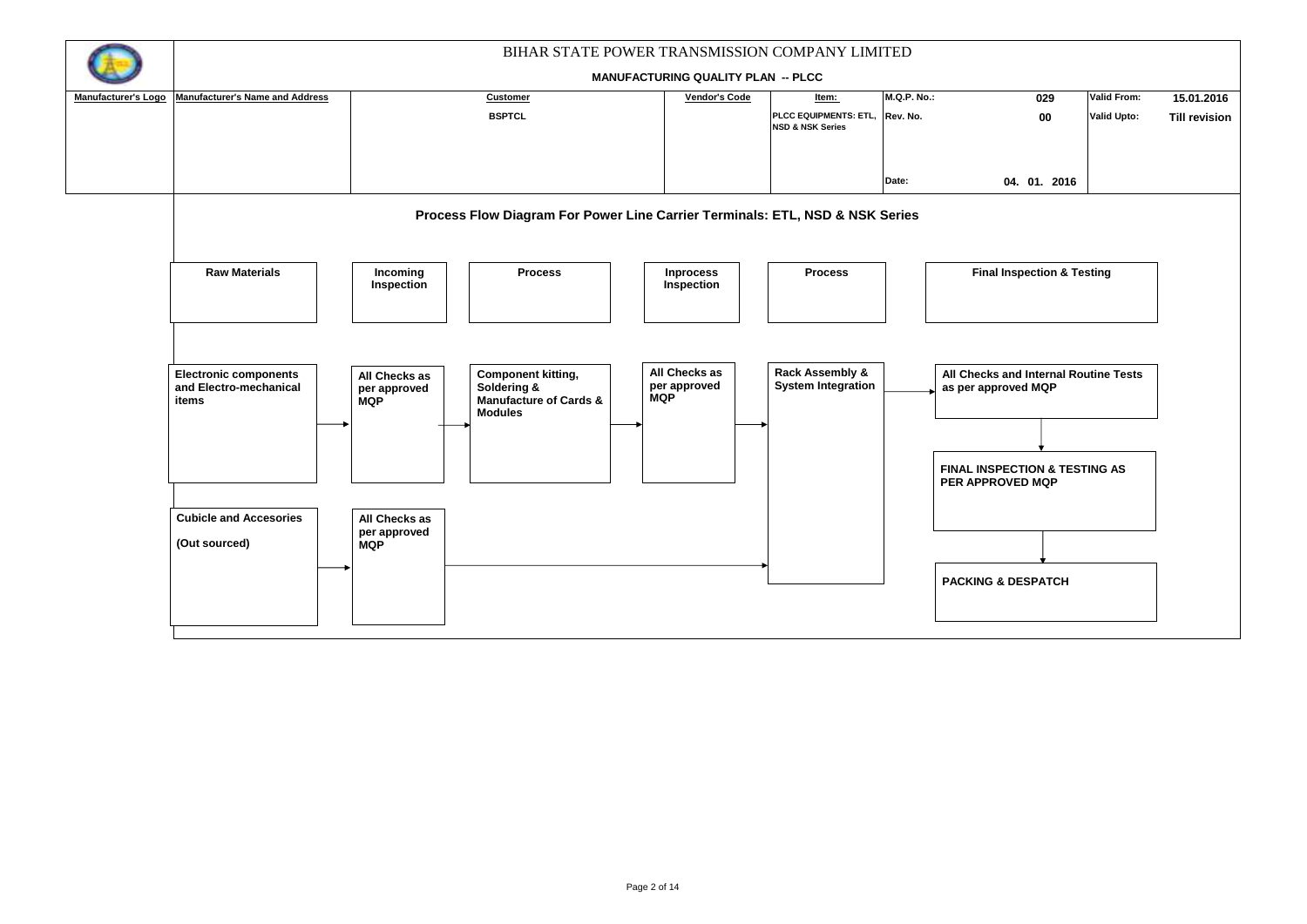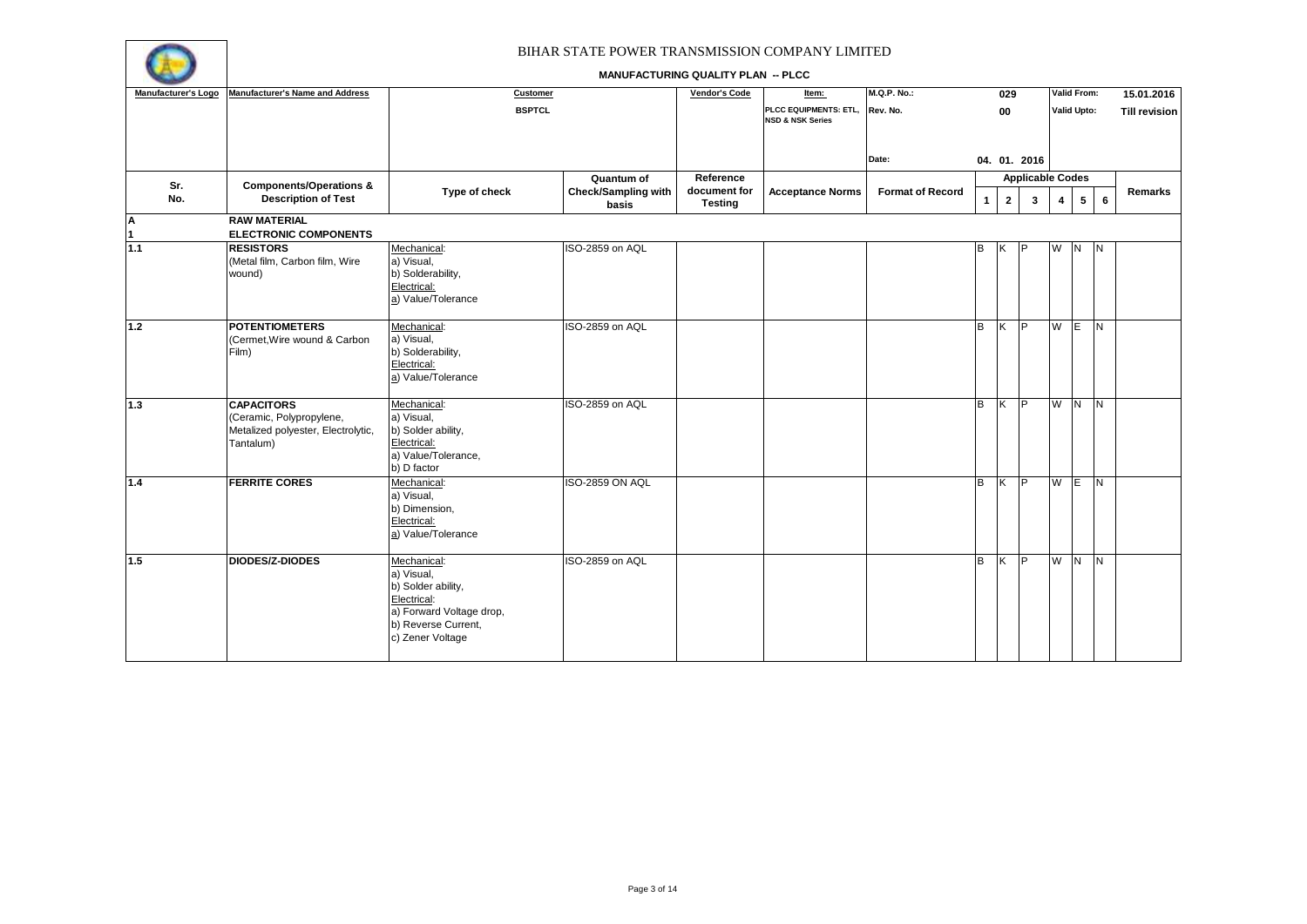

| Manufacturer's Logo | <b>Manufacturer's Name and Address</b>                                                           | <b>Customer</b>                                                                                                                       |                                                   | Vendor's Code                               | Item:                                                | <b>M.Q.P. No.:</b>      |              | 029                     |                              |         | Valid From:     |                 | 15.01.2016           |
|---------------------|--------------------------------------------------------------------------------------------------|---------------------------------------------------------------------------------------------------------------------------------------|---------------------------------------------------|---------------------------------------------|------------------------------------------------------|-------------------------|--------------|-------------------------|------------------------------|---------|-----------------|-----------------|----------------------|
|                     |                                                                                                  | <b>BSPTCL</b>                                                                                                                         |                                                   |                                             | PLCC EQUIPMENTS: ETL,<br><b>NSD &amp; NSK Series</b> | Rev. No.                |              | 00                      |                              |         | Valid Upto:     |                 | <b>Till revision</b> |
|                     |                                                                                                  |                                                                                                                                       |                                                   |                                             |                                                      | Date:                   |              |                         | 04. 01. 2016                 |         |                 |                 |                      |
| Sr.<br>No.          | <b>Components/Operations &amp;</b><br><b>Description of Test</b>                                 | Type of check                                                                                                                         | Quantum of<br><b>Check/Sampling with</b><br>basis | Reference<br>document for<br><b>Testing</b> | <b>Acceptance Norms</b>                              | <b>Format of Record</b> | $\mathbf{1}$ | $\overline{2}$          | <b>Applicable Codes</b><br>3 | 4       | $5\overline{ }$ | $6\phantom{.}6$ | Remarks              |
| A<br>1              | <b>RAW MATERIAL</b><br><b>ELECTRONIC COMPONENTS</b>                                              |                                                                                                                                       |                                                   |                                             |                                                      |                         |              |                         |                              |         |                 |                 |                      |
| 1.1                 | <b>RESISTORS</b><br>(Metal film, Carbon film, Wire<br>wound)                                     | Mechanical:<br>a) Visual,<br>b) Solderability,<br>Electrical:<br>a) Value/Tolerance                                                   | ISO-2859 on AQL                                   |                                             |                                                      |                         | В            | ΙK                      | P                            | W N     |                 | IN.             |                      |
| $1.2$               | <b>POTENTIOMETERS</b><br>(Cermet, Wire wound & Carbon<br>Film)                                   | Mechanical:<br>a) Visual,<br>b) Solderability,<br>Electrical:<br>a) Value/Tolerance                                                   | ISO-2859 on AQL                                   |                                             |                                                      |                         | B            | K                       | <b>IP</b>                    | W E     |                 | <b>IN</b>       |                      |
| 1.3                 | <b>CAPACITORS</b><br>(Ceramic, Polypropylene,<br>Metalized polyester, Electrolytic,<br>Tantalum) | Mechanical:<br>a) Visual,<br>b) Solder ability,<br>Electrical:<br>a) Value/Tolerance,<br>b) D factor                                  | ISO-2859 on AQL                                   |                                             |                                                      |                         | в            | $\overline{\mathsf{x}}$ | l P                          | $W$ $N$ |                 | $\overline{N}$  |                      |
| $1.4$               | <b>FERRITE CORES</b>                                                                             | Mechanical:<br>a) Visual.<br>b) Dimension,<br>Electrical:<br>a) Value/Tolerance                                                       | ISO-2859 ON AQL                                   |                                             |                                                      |                         | B            | $\overline{\mathsf{K}}$ | P                            | W E     |                 | $\overline{N}$  |                      |
| 1.5                 | <b>DIODES/Z-DIODES</b>                                                                           | Mechanical:<br>a) Visual,<br>b) Solder ability,<br>Electrical:<br>a) Forward Voltage drop,<br>b) Reverse Current,<br>c) Zener Voltage | ISO-2859 on AQL                                   |                                             |                                                      |                         | B            | Ιĸ.                     | P                            | W N     |                 | IN.             |                      |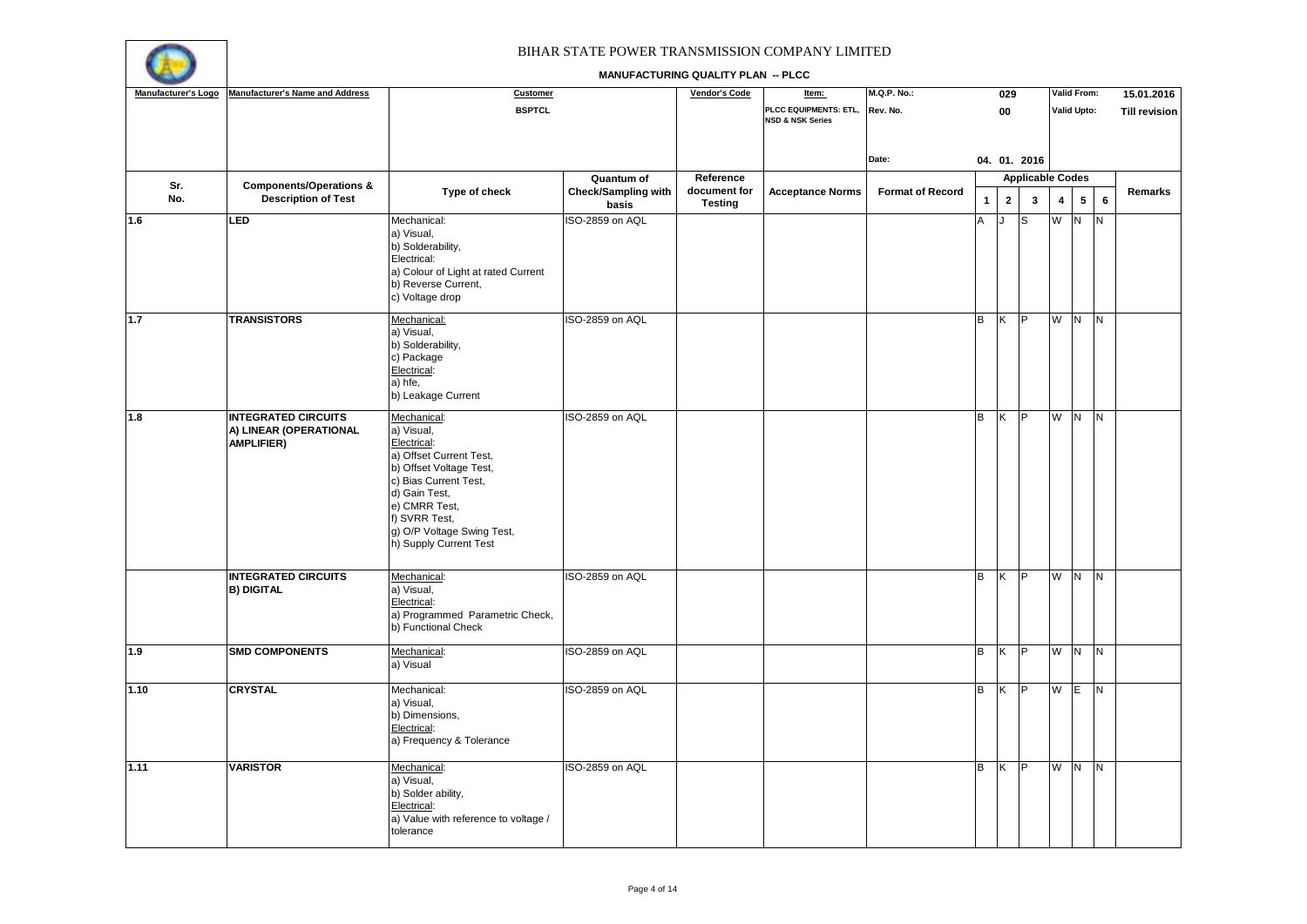

| Manufacturer's Logo | <b>Manufacturer's Name and Address</b>                                    | Customer                                                                                                                                                                                                                           |                                     | <b>Vendor's Code</b>      | Item:                       | <b>M.Q.P. No.:</b>      |              | 029                     |                         |                         | <b>Valid From:</b>      |                | 15.01.2016           |
|---------------------|---------------------------------------------------------------------------|------------------------------------------------------------------------------------------------------------------------------------------------------------------------------------------------------------------------------------|-------------------------------------|---------------------------|-----------------------------|-------------------------|--------------|-------------------------|-------------------------|-------------------------|-------------------------|----------------|----------------------|
|                     |                                                                           | <b>BSPTCL</b>                                                                                                                                                                                                                      |                                     |                           | PLCC EQUIPMENTS: ETL,       | Rev. No.                |              | 00                      |                         |                         | Valid Upto:             |                | <b>Till revision</b> |
|                     |                                                                           |                                                                                                                                                                                                                                    |                                     |                           | <b>NSD &amp; NSK Series</b> |                         |              |                         |                         |                         |                         |                |                      |
|                     |                                                                           |                                                                                                                                                                                                                                    |                                     |                           |                             |                         |              |                         |                         |                         |                         |                |                      |
|                     |                                                                           |                                                                                                                                                                                                                                    |                                     |                           |                             | Date:                   |              |                         | 04. 01. 2016            |                         |                         |                |                      |
| Sr.                 | <b>Components/Operations &amp;</b>                                        |                                                                                                                                                                                                                                    | Quantum of                          | Reference<br>document for |                             |                         |              |                         | <b>Applicable Codes</b> |                         |                         |                |                      |
| No.                 | <b>Description of Test</b>                                                | Type of check                                                                                                                                                                                                                      | <b>Check/Sampling with</b><br>basis | <b>Testing</b>            | <b>Acceptance Norms</b>     | <b>Format of Record</b> | $\mathbf{1}$ | $\overline{2}$          | 3                       | $\overline{\mathbf{4}}$ | $5\overline{5}$         | $6\phantom{a}$ | Remarks              |
| 1.6                 | LED                                                                       | Mechanical:<br>a) Visual,<br>b) Solderability,<br>Electrical:<br>a) Colour of Light at rated Current                                                                                                                               | ISO-2859 on AQL                     |                           |                             |                         | A            | J                       | S                       | W                       | N.                      | N <sub>1</sub> |                      |
|                     |                                                                           | b) Reverse Current,<br>c) Voltage drop                                                                                                                                                                                             |                                     |                           |                             |                         |              |                         |                         |                         |                         |                |                      |
| 1.7                 | <b>TRANSISTORS</b>                                                        | Mechanical:<br>a) Visual,<br>b) Solderability,<br>c) Package<br>Electrical:<br>a) hfe,<br>b) Leakage Current                                                                                                                       | ISO-2859 on AQL                     |                           |                             |                         | B            | Κ                       | P                       | W                       | N                       | N.             |                      |
| 1.8                 | <b>INTEGRATED CIRCUITS</b><br>A) LINEAR (OPERATIONAL<br><b>AMPLIFIER)</b> | Mechanical:<br>a) Visual,<br>Electrical:<br>a) Offset Current Test,<br>b) Offset Voltage Test,<br>c) Bias Current Test,<br>d) Gain Test,<br>e) CMRR Test,<br>f) SVRR Test,<br>g) O/P Voltage Swing Test,<br>h) Supply Current Test | ISO-2859 on AQL                     |                           |                             |                         | B            | ΙK.                     | P                       | W                       | $\overline{N}$          | N.             |                      |
|                     | <b>INTEGRATED CIRCUITS</b><br><b>B) DIGITAL</b>                           | Mechanical:<br>a) Visual,<br>Electrical:<br>a) Programmed Parametric Check,<br>b) Functional Check                                                                                                                                 | ISO-2859 on AQL                     |                           |                             |                         | B            | ΙK                      | P                       | W                       | N                       | <b>N</b>       |                      |
| 1.9                 | <b>SMD COMPONENTS</b>                                                     | Mechanical:<br>a) Visual                                                                                                                                                                                                           | ISO-2859 on AQL                     |                           |                             |                         | В            | K                       | P                       | W                       | $\overline{N}$          | <b>N</b>       |                      |
| 1.10                | <b>CRYSTAL</b>                                                            | Mechanical:<br>a) Visual,<br>b) Dimensions,<br>Electrical:<br>a) Frequency & Tolerance                                                                                                                                             | ISO-2859 on AQL                     |                           |                             |                         | B            | $\overline{\mathsf{K}}$ | P                       | W                       | ΠΕ                      | $\overline{z}$ |                      |
| 1.11                | <b>VARISTOR</b>                                                           | Mechanical:<br>a) Visual,<br>b) Solder ability,<br>Electrical:<br>a) Value with reference to voltage /<br>tolerance                                                                                                                | ISO-2859 on AQL                     |                           |                             |                         | в            | $\overline{\mathsf{x}}$ | P                       | W                       | $\overline{\mathbf{z}}$ | $\overline{N}$ |                      |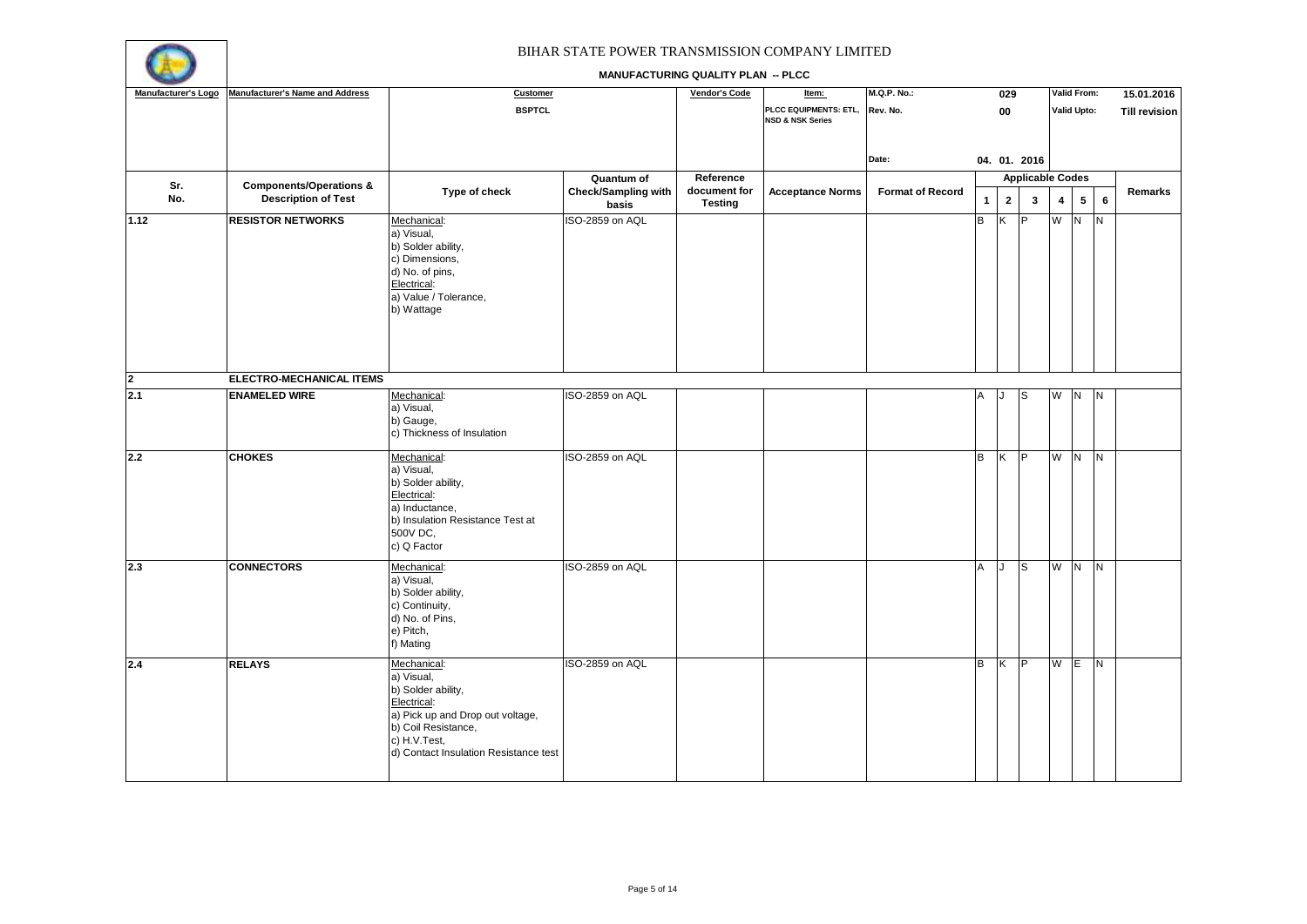

| Manufacturer's Logo     | <b>Manufacturer's Name and Address</b>                           | Customer                                                                                                                                                                           |                                     | Vendor's Code                  | Item:                                                | <b>M.Q.P. No.:</b>      |              | 029            |                         |     | Valid From:        |          | 15.01.2016           |
|-------------------------|------------------------------------------------------------------|------------------------------------------------------------------------------------------------------------------------------------------------------------------------------------|-------------------------------------|--------------------------------|------------------------------------------------------|-------------------------|--------------|----------------|-------------------------|-----|--------------------|----------|----------------------|
|                         |                                                                  | <b>BSPTCL</b>                                                                                                                                                                      |                                     |                                | PLCC EQUIPMENTS: ETL,<br><b>NSD &amp; NSK Series</b> | Rev. No.                |              | 00             |                         |     | <b>Valid Upto:</b> |          | <b>Till revision</b> |
|                         |                                                                  |                                                                                                                                                                                    |                                     |                                |                                                      | Date:                   |              |                | 04. 01. 2016            |     |                    |          |                      |
|                         |                                                                  |                                                                                                                                                                                    | Quantum of                          | Reference                      |                                                      |                         |              |                | <b>Applicable Codes</b> |     |                    |          |                      |
| Sr.<br>No.              | <b>Components/Operations &amp;</b><br><b>Description of Test</b> | Type of check                                                                                                                                                                      | <b>Check/Sampling with</b><br>basis | document for<br><b>Testing</b> | <b>Acceptance Norms</b>                              | <b>Format of Record</b> | $\mathbf{1}$ | $\overline{2}$ | $\mathbf{3}$            | 4   | $5\overline{)}$    | $\bf 6$  | Remarks              |
| 1.12                    | <b>RESISTOR NETWORKS</b>                                         | Mechanical:<br>a) Visual,<br>b) Solder ability,<br>c) Dimensions,<br>d) No. of pins,<br>Electrical:<br>a) Value / Tolerance,<br>b) Wattage                                         | ISO-2859 on AQL                     |                                |                                                      |                         | B            | Κ              | P                       | W N |                    | N        |                      |
| $\overline{\mathbf{2}}$ | ELECTRO-MECHANICAL ITEMS                                         |                                                                                                                                                                                    |                                     |                                |                                                      |                         |              |                |                         |     |                    |          |                      |
| 2.1                     | <b>ENAMELED WIRE</b>                                             | Mechanical:<br>a) Visual,<br>b) Gauge,<br>c) Thickness of Insulation                                                                                                               | ISO-2859 on AQL                     |                                |                                                      |                         | A            |                | lS.                     | W N |                    | <b>N</b> |                      |
| 2.2                     | <b>CHOKES</b>                                                    | Mechanical:<br>a) Visual,<br>b) Solder ability,<br>Electrical:<br>a) Inductance,<br>b) Insulation Resistance Test at<br>500V DC,<br>c) Q Factor                                    | ISO-2859 on AQL                     |                                |                                                      |                         | B            | ΙK.            | P                       | W N |                    | N        |                      |
| 2.3                     | <b>CONNECTORS</b>                                                | Mechanical:<br>a) Visual,<br>b) Solder ability,<br>c) Continuity,<br>d) No. of Pins,<br>e) Pitch,<br>f) Mating                                                                     | ISO-2859 on AQL                     |                                |                                                      |                         | A            | J              | S                       | W N |                    | IN.      |                      |
| 2.4                     | <b>RELAYS</b>                                                    | Mechanical:<br>a) Visual,<br>b) Solder ability,<br>Electrical:<br>a) Pick up and Drop out voltage,<br>b) Coil Resistance,<br>c) H.V.Test,<br>d) Contact Insulation Resistance test | ISO-2859 on AQL                     |                                |                                                      |                         | B            | K              | P                       | W E |                    | <b>N</b> |                      |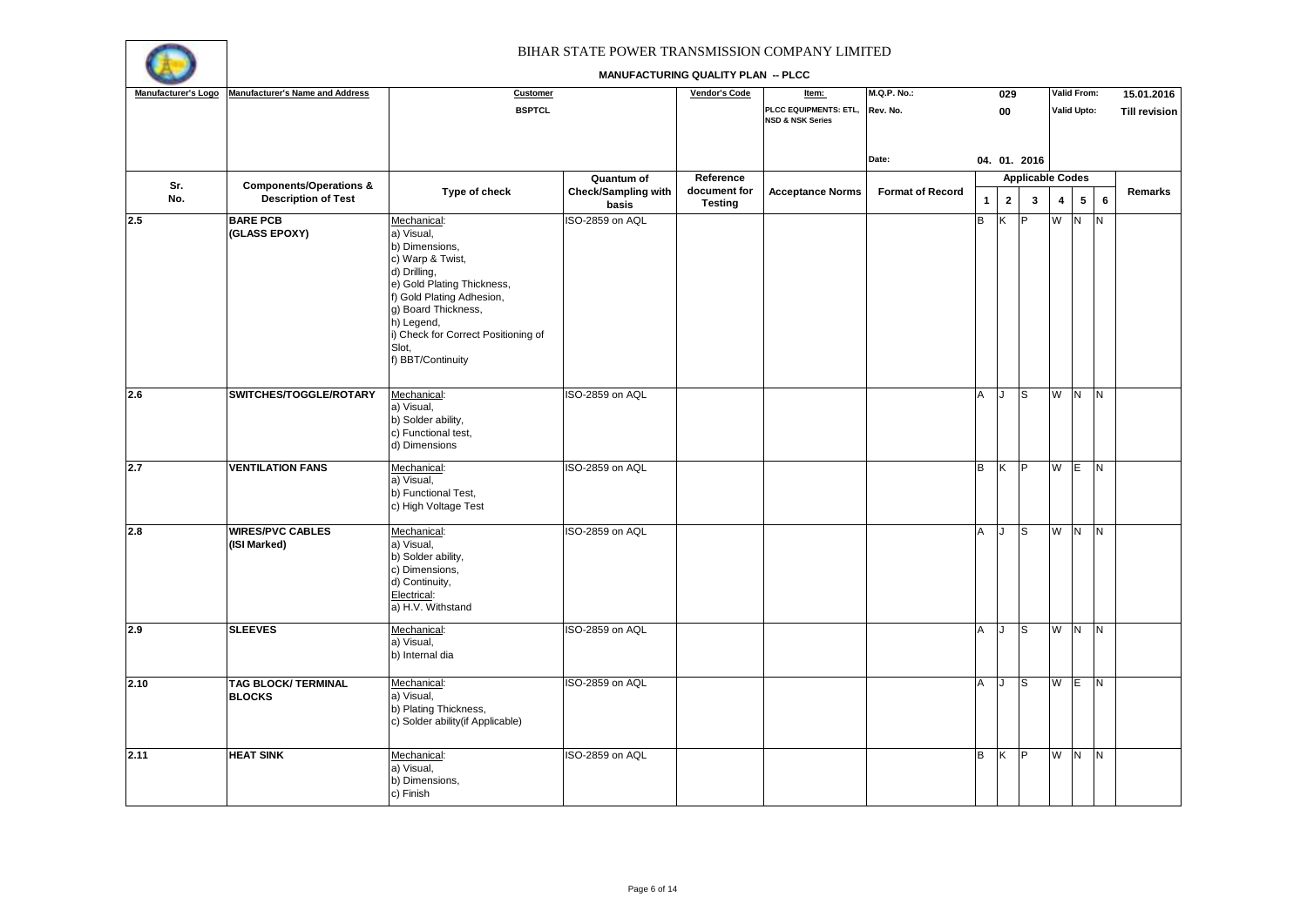

| Manufacturer's Logo | <b>Manufacturer's Name and Address</b>      | Customer                                                                                                                                                                                                                                             |                                     | Vendor's Code                  | Item:                                                | <b>M.Q.P. No.:</b>      |              | 029                     |                         |     | Valid From:        |                         | 15.01.2016           |
|---------------------|---------------------------------------------|------------------------------------------------------------------------------------------------------------------------------------------------------------------------------------------------------------------------------------------------------|-------------------------------------|--------------------------------|------------------------------------------------------|-------------------------|--------------|-------------------------|-------------------------|-----|--------------------|-------------------------|----------------------|
|                     |                                             | <b>BSPTCL</b>                                                                                                                                                                                                                                        |                                     |                                | PLCC EQUIPMENTS: ETL,<br><b>NSD &amp; NSK Series</b> | Rev. No.                |              | 00                      |                         |     | <b>Valid Upto:</b> |                         | <b>Till revision</b> |
|                     |                                             |                                                                                                                                                                                                                                                      |                                     |                                |                                                      | Date:                   |              |                         | 04. 01. 2016            |     |                    |                         |                      |
| Sr.                 | <b>Components/Operations &amp;</b>          |                                                                                                                                                                                                                                                      | Quantum of                          | Reference                      |                                                      |                         |              |                         | <b>Applicable Codes</b> |     |                    |                         |                      |
| No.                 | <b>Description of Test</b>                  | Type of check                                                                                                                                                                                                                                        | <b>Check/Sampling with</b><br>basis | document for<br><b>Testing</b> | <b>Acceptance Norms</b>                              | <b>Format of Record</b> | $\mathbf{1}$ | $\overline{\mathbf{2}}$ | 3                       | 4   | $5\phantom{.0}$    | $6\phantom{a}$          | Remarks              |
| 2.5                 | <b>BARE PCB</b><br>(GLASS EPOXY)            | Mechanical:<br>a) Visual,<br>b) Dimensions,<br>c) Warp & Twist,<br>d) Drilling,<br>e) Gold Plating Thickness,<br>f) Gold Plating Adhesion,<br>g) Board Thickness,<br>h) Legend,<br>i) Check for Correct Positioning of<br>Slot,<br>f) BBT/Continuity | ISO-2859 on AQL                     |                                |                                                      |                         | B            | K                       | P                       | W   | IN.                | N.                      |                      |
| 2.6                 | SWITCHES/TOGGLE/ROTARY                      | Mechanical:<br>a) Visual,<br>b) Solder ability,<br>c) Functional test,<br>d) Dimensions                                                                                                                                                              | ISO-2859 on AQL                     |                                |                                                      |                         | A            | . 1                     | S                       | W   | N.                 | N.                      |                      |
| 2.7                 | <b>VENTILATION FANS</b>                     | Mechanical:<br>a) Visual,<br>b) Functional Test,<br>c) High Voltage Test                                                                                                                                                                             | ISO-2859 on AQL                     |                                |                                                      |                         | B            | ΙK.                     | IP.                     | W   | $\overline{E}$     | $\overline{\mathsf{N}}$ |                      |
| 2.8                 | <b>WIRES/PVC CABLES</b><br>(ISI Marked)     | Mechanical:<br>a) Visual,<br>b) Solder ability,<br>c) Dimensions,<br>d) Continuity,<br>Electrical:<br>a) H.V. Withstand                                                                                                                              | ISO-2859 on AQL                     |                                |                                                      |                         | A            | J                       | $\mathbf{s}$            | W   | N <sub>1</sub>     | N                       |                      |
| 2.9                 | <b>SLEEVES</b>                              | Mechanical:<br>a) Visual,<br>b) Internal dia                                                                                                                                                                                                         | ISO-2859 on AQL                     |                                |                                                      |                         | A            | $\overline{1}$          | S                       | W   | N.                 | N.                      |                      |
| 2.10                | <b>TAG BLOCK/ TERMINAL</b><br><b>BLOCKS</b> | Mechanical:<br>a) Visual,<br>b) Plating Thickness,<br>c) Solder ability (if Applicable)                                                                                                                                                              | ISO-2859 on AQL                     |                                |                                                      |                         | A            | $\cdot$                 | S                       | W   | IE.                | N <sub>1</sub>          |                      |
| 2.11                | <b>HEAT SINK</b>                            | Mechanical:<br>a) Visual,<br>b) Dimensions,<br>c) Finish                                                                                                                                                                                             | ISO-2859 on AQL                     |                                |                                                      |                         | B            | K                       | ĪΡ                      | W N |                    | $\overline{\mathsf{N}}$ |                      |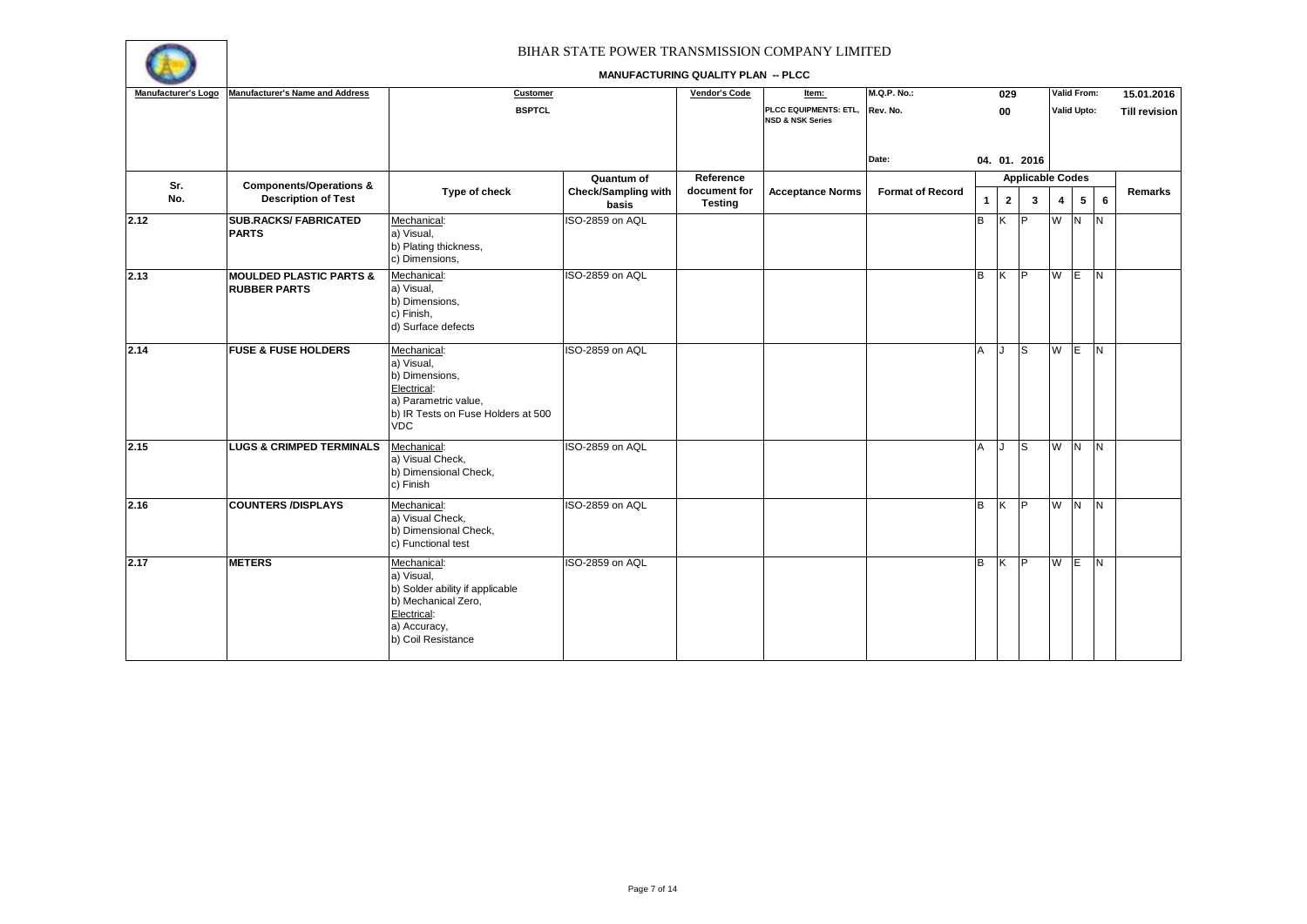

| Manufacturer's Logo | <b>Manufacturer's Name and Address</b>                    | Customer                                                                                                                                 |                                     | <b>Vendor's Code</b>           | Item:                                                | <b>M.Q.P. No.:</b>      |              | 029            |                         |                | Valid From:             |                | 15.01.2016           |
|---------------------|-----------------------------------------------------------|------------------------------------------------------------------------------------------------------------------------------------------|-------------------------------------|--------------------------------|------------------------------------------------------|-------------------------|--------------|----------------|-------------------------|----------------|-------------------------|----------------|----------------------|
|                     |                                                           | <b>BSPTCL</b>                                                                                                                            |                                     |                                | PLCC EQUIPMENTS: ETL,<br><b>NSD &amp; NSK Series</b> | Rev. No.                |              | 00             |                         |                | Valid Upto:             |                | <b>Till revision</b> |
|                     |                                                           |                                                                                                                                          |                                     |                                |                                                      | Date:                   |              |                | 04. 01. 2016            |                |                         |                |                      |
| Sr.                 | <b>Components/Operations &amp;</b>                        |                                                                                                                                          | Quantum of                          | Reference                      |                                                      |                         |              |                | <b>Applicable Codes</b> |                |                         |                |                      |
| No.                 | <b>Description of Test</b>                                | Type of check                                                                                                                            | <b>Check/Sampling with</b><br>basis | document for<br><b>Testing</b> | <b>Acceptance Norms</b>                              | <b>Format of Record</b> | $\mathbf{1}$ | $\overline{2}$ | 3                       | $\overline{4}$ | 5                       | $6\phantom{a}$ | Remarks              |
| 2.12                | <b>SUB.RACKS/ FABRICATED</b><br><b>PARTS</b>              | Mechanical:<br>a) Visual,<br>b) Plating thickness,<br>c) Dimensions,                                                                     | ISO-2859 on AQL                     |                                |                                                      |                         | B            | K              | IP.                     | $W$ $N$        |                         | $\overline{N}$ |                      |
| 2.13                | <b>MOULDED PLASTIC PARTS &amp;</b><br><b>RUBBER PARTS</b> | Mechanical:<br>a) Visual,<br>b) Dimensions,<br>c) Finish,<br>d) Surface defects                                                          | ISO-2859 on AQL                     |                                |                                                      |                         | B            | K              | <b>IP</b>               | W              | ΠE                      | $\overline{N}$ |                      |
| 2.14                | <b>FUSE &amp; FUSE HOLDERS</b>                            | Mechanical:<br>a) Visual,<br>b) Dimensions,<br>Electrical:<br>a) Parametric value,<br>b) IR Tests on Fuse Holders at 500<br><b>VDC</b>   | ISO-2859 on AQL                     |                                |                                                      |                         | <b>A</b>     | IJ             | ls                      | W              | ΠE                      | <b>N</b>       |                      |
| 2.15                | <b>LUGS &amp; CRIMPED TERMINALS</b>                       | Mechanical:<br>a) Visual Check,<br>b) Dimensional Check,<br>c) Finish                                                                    | ISO-2859 on AQL                     |                                |                                                      |                         | A            | J              | ls                      | W              | z                       | N              |                      |
| 2.16                | <b>COUNTERS /DISPLAYS</b>                                 | Mechanical:<br>a) Visual Check,<br>b) Dimensional Check,<br>c) Functional test                                                           | ISO-2859 on AQL                     |                                |                                                      |                         | <b>B</b>     | K              | ΤP                      | W              | $\overline{\mathsf{N}}$ | $\overline{N}$ |                      |
| 2.17                | <b>METERS</b>                                             | Mechanical:<br>a) Visual,<br>b) Solder ability if applicable<br>b) Mechanical Zero,<br>Electrical:<br>a) Accuracy,<br>b) Coil Resistance | ISO-2859 on AQL                     |                                |                                                      |                         | <b>B</b>     | K              | <b>IP</b>               | W              | TE.                     | $\overline{N}$ |                      |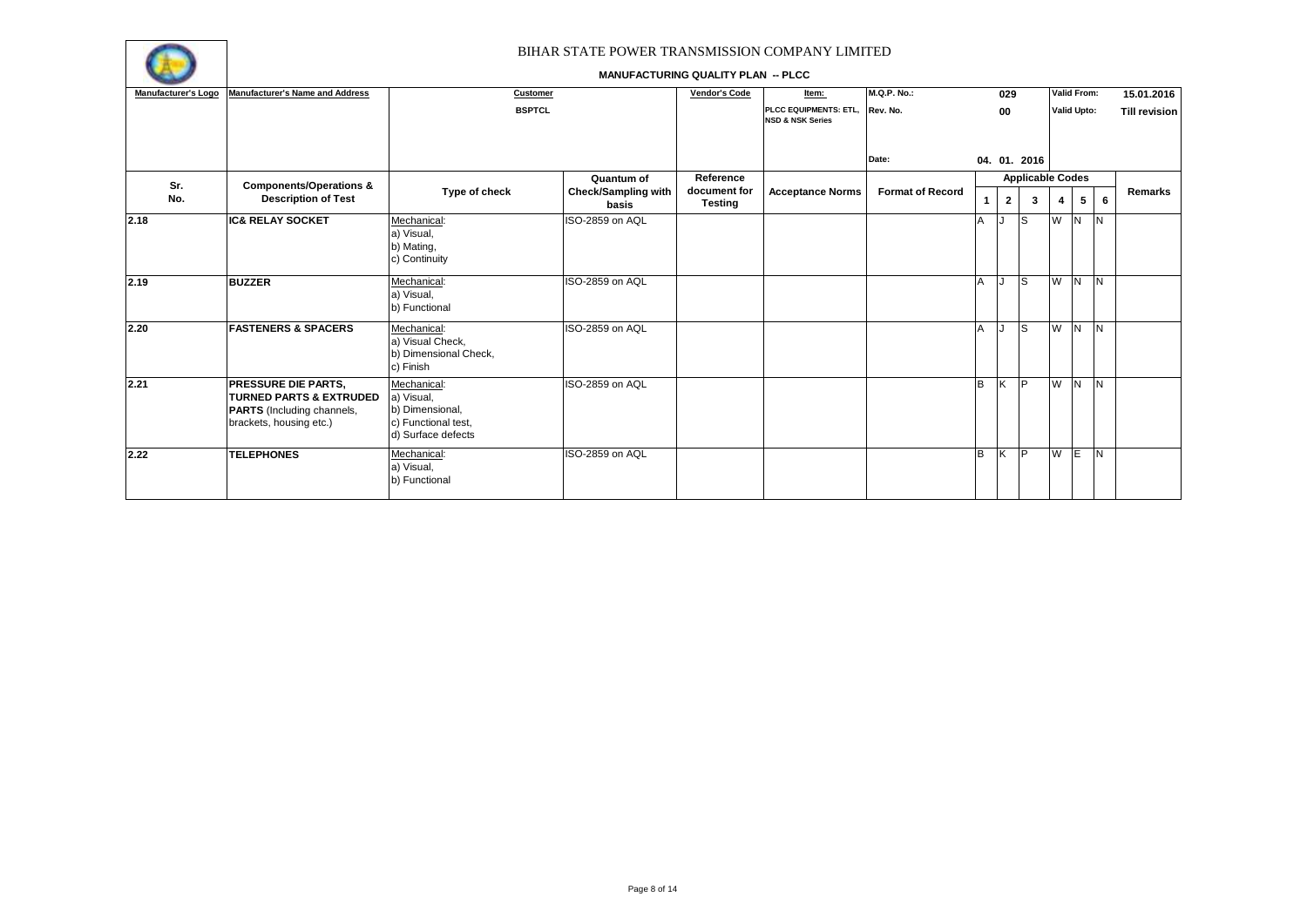

| Manufacturer's Logo | <b>Manufacturer's Name and Address</b>                                                                                           | Customer                                                                                  |                                                   | Vendor's Code                               | Item:                                                         | <b>M.Q.P. No.:</b>      |                | 029            |                              | Valid From:        |   |     | 15.01.2016           |
|---------------------|----------------------------------------------------------------------------------------------------------------------------------|-------------------------------------------------------------------------------------------|---------------------------------------------------|---------------------------------------------|---------------------------------------------------------------|-------------------------|----------------|----------------|------------------------------|--------------------|---|-----|----------------------|
|                     |                                                                                                                                  | <b>BSPTCL</b>                                                                             |                                                   |                                             | PLCC EQUIPMENTS: ETL, Rev. No.<br><b>NSD &amp; NSK Series</b> |                         |                | 00             |                              | <b>Valid Upto:</b> |   |     | <b>Till revision</b> |
|                     |                                                                                                                                  |                                                                                           |                                                   |                                             |                                                               | Date:                   |                |                | 04. 01. 2016                 |                    |   |     |                      |
| Sr.<br>No.          | <b>Components/Operations &amp;</b><br><b>Description of Test</b>                                                                 | Type of check                                                                             | Quantum of<br><b>Check/Sampling with</b><br>basis | Reference<br>document for<br><b>Testing</b> | <b>Acceptance Norms</b>                                       | <b>Format of Record</b> | $\overline{1}$ | $\overline{2}$ | <b>Applicable Codes</b><br>3 | $\boldsymbol{4}$   | 5 | 6   | Remarks              |
| 2.18                | <b>IC&amp; RELAY SOCKET</b>                                                                                                      | Mechanical:<br>a) Visual,<br>b) Mating,<br>c) Continuity                                  | ISO-2859 on AQL                                   |                                             |                                                               |                         | А              |                | <sub>S</sub>                 | W N                |   | IN. |                      |
| 2.19                | <b>BUZZER</b>                                                                                                                    | Mechanical:<br>a) Visual,<br>b) Functional                                                | ISO-2859 on AQL                                   |                                             |                                                               |                         | A              |                | ls                           | W N N              |   |     |                      |
| 2.20                | <b>FASTENERS &amp; SPACERS</b>                                                                                                   | Mechanical:<br>a) Visual Check,<br>b) Dimensional Check,<br>c) Finish                     | ISO-2859 on AQL                                   |                                             |                                                               |                         | A              |                | ls                           | W N                |   | IN. |                      |
| 2.21                | <b>PRESSURE DIE PARTS.</b><br><b>TURNED PARTS &amp; EXTRUDED</b><br><b>PARTS</b> (Including channels,<br>brackets, housing etc.) | Mechanical:<br>a) Visual,<br>b) Dimensional,<br>c) Functional test,<br>d) Surface defects | ISO-2859 on AQL                                   |                                             |                                                               |                         | B              | K              | P                            | W N                |   | IN. |                      |
| 2.22                | <b>TELEPHONES</b>                                                                                                                | Mechanical:<br>a) Visual,<br>b) Functional                                                | ISO-2859 on AQL                                   |                                             |                                                               |                         | B              | ΙK.            | <b>IP</b>                    | W E                |   | IN. |                      |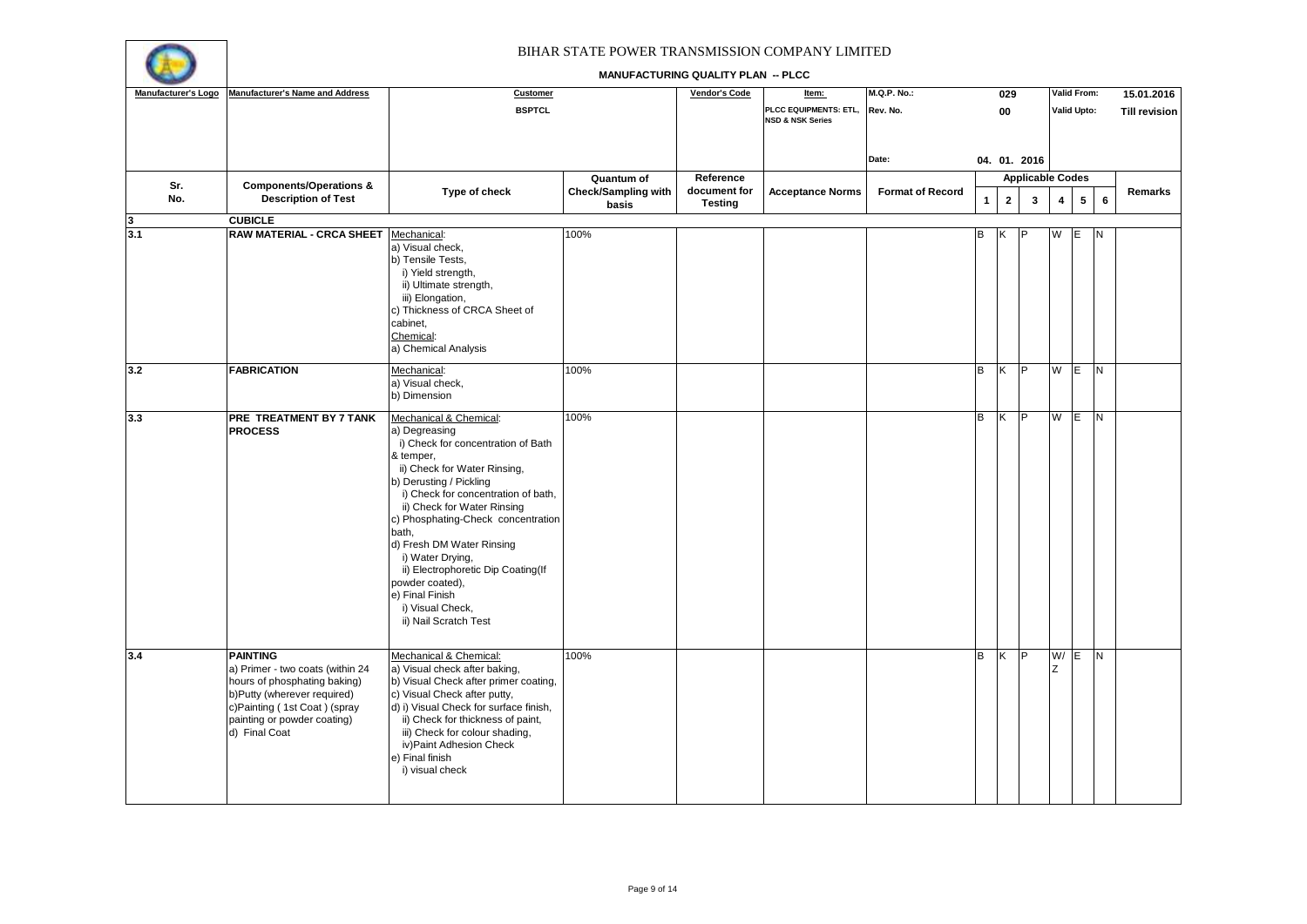

| Manufacturer's Logo | <b>Manufacturer's Name and Address</b>                                                                                                                                                             | Customer                                                                                                                                                                                                                                                                                                                                                                                                                                             |                                                   | <b>Vendor's Code</b>                        | Item:                                                | <b>M.Q.P. No.:</b>      |              | 029            |                              |                         | Valid From:        |                | 15.01.2016           |
|---------------------|----------------------------------------------------------------------------------------------------------------------------------------------------------------------------------------------------|------------------------------------------------------------------------------------------------------------------------------------------------------------------------------------------------------------------------------------------------------------------------------------------------------------------------------------------------------------------------------------------------------------------------------------------------------|---------------------------------------------------|---------------------------------------------|------------------------------------------------------|-------------------------|--------------|----------------|------------------------------|-------------------------|--------------------|----------------|----------------------|
|                     |                                                                                                                                                                                                    | <b>BSPTCL</b>                                                                                                                                                                                                                                                                                                                                                                                                                                        |                                                   |                                             | PLCC EQUIPMENTS: ETL,<br><b>NSD &amp; NSK Series</b> | Rev. No.                |              | 00             |                              |                         | <b>Valid Upto:</b> |                | <b>Till revision</b> |
|                     |                                                                                                                                                                                                    |                                                                                                                                                                                                                                                                                                                                                                                                                                                      |                                                   |                                             |                                                      | Date:                   |              |                | 04. 01. 2016                 |                         |                    |                |                      |
| Sr.<br>No.          | <b>Components/Operations &amp;</b><br><b>Description of Test</b>                                                                                                                                   | Type of check                                                                                                                                                                                                                                                                                                                                                                                                                                        | Quantum of<br><b>Check/Sampling with</b><br>basis | Reference<br>document for<br><b>Testing</b> | <b>Acceptance Norms</b>                              | <b>Format of Record</b> | $\mathbf{1}$ | $\overline{2}$ | <b>Applicable Codes</b><br>3 | $\overline{\mathbf{4}}$ | $5\phantom{.0}$    | 6              | Remarks              |
| 3                   | <b>CUBICLE</b>                                                                                                                                                                                     |                                                                                                                                                                                                                                                                                                                                                                                                                                                      |                                                   |                                             |                                                      |                         |              |                |                              |                         |                    |                |                      |
| 3.1                 | <b>RAW MATERIAL - CRCA SHEET</b>                                                                                                                                                                   | Mechanical:<br>a) Visual check,<br>b) Tensile Tests,<br>i) Yield strength,<br>ii) Ultimate strength,<br>iii) Elongation,<br>c) Thickness of CRCA Sheet of<br>cabinet,<br>Chemical:<br>a) Chemical Analysis                                                                                                                                                                                                                                           | 100%                                              |                                             |                                                      |                         | B            |                |                              | W                       | ΙE                 | N              |                      |
| 3.2                 | <b>FABRICATION</b>                                                                                                                                                                                 | Mechanical:<br>a) Visual check,<br>b) Dimension                                                                                                                                                                                                                                                                                                                                                                                                      | 100%                                              |                                             |                                                      |                         | в            | K              | lP.                          | W                       | $\mathsf{E}$       | N <sub>1</sub> |                      |
| 3.3                 | PRE TREATMENT BY 7 TANK<br><b>PROCESS</b>                                                                                                                                                          | Mechanical & Chemical:<br>a) Degreasing<br>i) Check for concentration of Bath<br>& temper,<br>ii) Check for Water Rinsing,<br>b) Derusting / Pickling<br>i) Check for concentration of bath,<br>ii) Check for Water Rinsing<br>c) Phosphating-Check concentration<br>bath,<br>d) Fresh DM Water Rinsing<br>i) Water Drying,<br>ii) Electrophoretic Dip Coating(If<br>powder coated),<br>e) Final Finish<br>i) Visual Check,<br>ii) Nail Scratch Test | 100%                                              |                                             |                                                      |                         | B            | K.             | P                            | W                       | IE.                | <b>N</b>       |                      |
| 3.4                 | <b>PAINTING</b><br>a) Primer - two coats (within 24<br>hours of phosphating baking)<br>b)Putty (wherever required)<br>c)Painting (1st Coat) (spray<br>painting or powder coating)<br>d) Final Coat | Mechanical & Chemical:<br>a) Visual check after baking,<br>b) Visual Check after primer coating,<br>c) Visual Check after putty,<br>d) i) Visual Check for surface finish,<br>ii) Check for thickness of paint,<br>iii) Check for colour shading,<br>iv)Paint Adhesion Check<br>e) Final finish<br>i) visual check                                                                                                                                   | 100%                                              |                                             |                                                      |                         | в            | K              | <b>IP</b>                    | W/<br>Z                 | E                  | N.             |                      |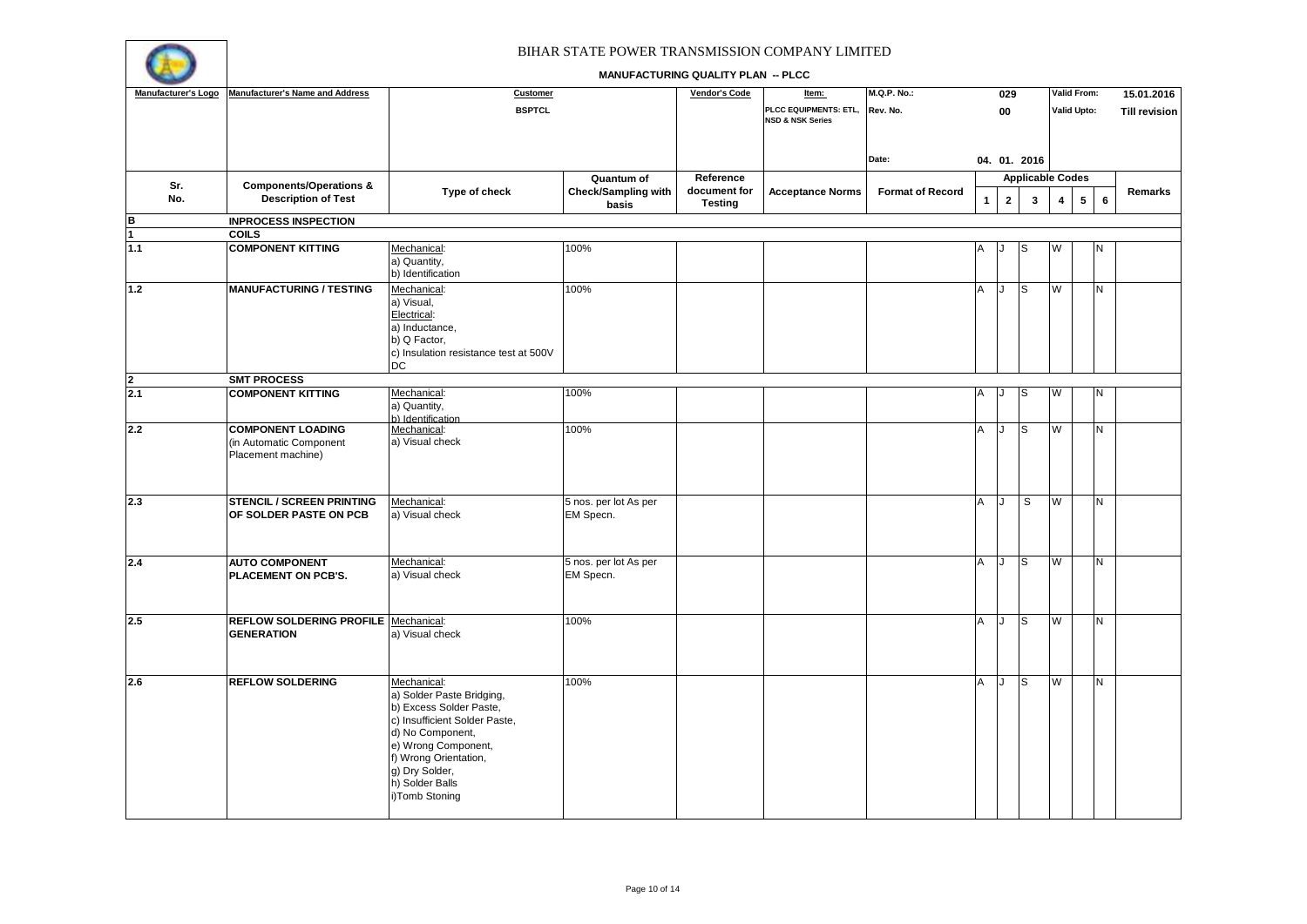

| Manufacturer's Logo | <b>Manufacturer's Name and Address</b> | <b>Customer</b>                              |                            | Vendor's Code  | Item:                       | <b>M.Q.P. No.:</b>      |              | 029            |                         |   | Valid From:     | 15.01.2016                |
|---------------------|----------------------------------------|----------------------------------------------|----------------------------|----------------|-----------------------------|-------------------------|--------------|----------------|-------------------------|---|-----------------|---------------------------|
|                     |                                        | <b>BSPTCL</b>                                |                            |                | PLCC EQUIPMENTS: ETL,       | Rev. No.                |              | 00             |                         |   | Valid Upto:     | <b>Till revision</b>      |
|                     |                                        |                                              |                            |                | <b>NSD &amp; NSK Series</b> |                         |              |                |                         |   |                 |                           |
|                     |                                        |                                              |                            |                |                             |                         |              |                |                         |   |                 |                           |
|                     |                                        |                                              |                            |                |                             | Date:                   |              |                | 04. 01. 2016            |   |                 |                           |
|                     |                                        |                                              |                            |                |                             |                         |              |                |                         |   |                 |                           |
| Sr.                 | <b>Components/Operations &amp;</b>     |                                              | Quantum of                 | Reference      |                             |                         |              |                | <b>Applicable Codes</b> |   |                 |                           |
| No.                 | <b>Description of Test</b>             | Type of check                                | <b>Check/Sampling with</b> | document for   | <b>Acceptance Norms</b>     | <b>Format of Record</b> | $\mathbf{1}$ | $\overline{2}$ | 3                       | 4 | $5\overline{5}$ | Remarks<br>$6\phantom{a}$ |
|                     |                                        |                                              | basis                      | <b>Testing</b> |                             |                         |              |                |                         |   |                 |                           |
| B                   | <b>INPROCESS INSPECTION</b>            |                                              |                            |                |                             |                         |              |                |                         |   |                 |                           |
| $\overline{1}$      | <b>COILS</b>                           |                                              |                            |                |                             |                         |              |                |                         |   |                 |                           |
| 1.1                 | <b>COMPONENT KITTING</b>               | Mechanical:<br>a) Quantity,                  | 100%                       |                |                             |                         | Α            |                | S                       | W | N               |                           |
|                     |                                        | b) Identification                            |                            |                |                             |                         |              |                |                         |   |                 |                           |
|                     | <b>MANUFACTURING / TESTING</b>         |                                              |                            |                |                             |                         |              |                |                         |   |                 |                           |
| $1.2$               |                                        | Mechanical:                                  | 100%                       |                |                             |                         | Α            | J              | S                       | W | N               |                           |
|                     |                                        | a) Visual,                                   |                            |                |                             |                         |              |                |                         |   |                 |                           |
|                     |                                        | Electrical:<br>a) Inductance,                |                            |                |                             |                         |              |                |                         |   |                 |                           |
|                     |                                        | b) Q Factor,                                 |                            |                |                             |                         |              |                |                         |   |                 |                           |
|                     |                                        | c) Insulation resistance test at 500V        |                            |                |                             |                         |              |                |                         |   |                 |                           |
|                     |                                        | <b>DC</b>                                    |                            |                |                             |                         |              |                |                         |   |                 |                           |
|                     | <b>SMT PROCESS</b>                     |                                              |                            |                |                             |                         |              |                |                         |   |                 |                           |
| $\frac{2}{2.1}$     | <b>COMPONENT KITTING</b>               | Mechanical:                                  | 100%                       |                |                             |                         | Α            |                | S                       | W | Ν               |                           |
|                     |                                        | a) Quantity,                                 |                            |                |                             |                         |              |                |                         |   |                 |                           |
|                     |                                        | b) Identification                            |                            |                |                             |                         |              |                |                         |   |                 |                           |
| 2.2                 | <b>COMPONENT LOADING</b>               | Mechanical:                                  | 100%                       |                |                             |                         | Α            | J              | S                       | W | N               |                           |
|                     | (in Automatic Component                | a) Visual check                              |                            |                |                             |                         |              |                |                         |   |                 |                           |
|                     | Placement machine)                     |                                              |                            |                |                             |                         |              |                |                         |   |                 |                           |
|                     |                                        |                                              |                            |                |                             |                         |              |                |                         |   |                 |                           |
|                     |                                        |                                              |                            |                |                             |                         |              |                |                         |   |                 |                           |
| 2.3                 | <b>STENCIL / SCREEN PRINTING</b>       | Mechanical:                                  | 5 nos. per lot As per      |                |                             |                         | A            |                | S                       | W | N               |                           |
|                     | OF SOLDER PASTE ON PCB                 | a) Visual check                              | EM Specn.                  |                |                             |                         |              |                |                         |   |                 |                           |
|                     |                                        |                                              |                            |                |                             |                         |              |                |                         |   |                 |                           |
|                     |                                        |                                              |                            |                |                             |                         |              |                |                         |   |                 |                           |
|                     |                                        |                                              |                            |                |                             |                         |              |                |                         |   |                 |                           |
| 2.4                 | <b>AUTO COMPONENT</b>                  | Mechanical:                                  | 5 nos. per lot As per      |                |                             |                         | A            | J              | <sub>S</sub>            | W | N.              |                           |
|                     | PLACEMENT ON PCB'S.                    | a) Visual check                              | EM Specn.                  |                |                             |                         |              |                |                         |   |                 |                           |
|                     |                                        |                                              |                            |                |                             |                         |              |                |                         |   |                 |                           |
|                     |                                        |                                              |                            |                |                             |                         |              |                |                         |   |                 |                           |
| 2.5                 | REFLOW SOLDERING PROFILE   Mechanical: |                                              | 100%                       |                |                             |                         | A            | J              | <sub>S</sub>            | W | N               |                           |
|                     | <b>GENERATION</b>                      | a) Visual check                              |                            |                |                             |                         |              |                |                         |   |                 |                           |
|                     |                                        |                                              |                            |                |                             |                         |              |                |                         |   |                 |                           |
|                     |                                        |                                              |                            |                |                             |                         |              |                |                         |   |                 |                           |
|                     |                                        |                                              |                            |                |                             |                         |              |                |                         |   |                 |                           |
| 2.6                 | <b>REFLOW SOLDERING</b>                | Mechanical:<br>a) Solder Paste Bridging,     | 100%                       |                |                             |                         | Α            | J              | S                       | W | N               |                           |
|                     |                                        | b) Excess Solder Paste,                      |                            |                |                             |                         |              |                |                         |   |                 |                           |
|                     |                                        | c) Insufficient Solder Paste,                |                            |                |                             |                         |              |                |                         |   |                 |                           |
|                     |                                        |                                              |                            |                |                             |                         |              |                |                         |   |                 |                           |
|                     |                                        | d) No Component,                             |                            |                |                             |                         |              |                |                         |   |                 |                           |
|                     |                                        | e) Wrong Component,<br>f) Wrong Orientation, |                            |                |                             |                         |              |                |                         |   |                 |                           |
|                     |                                        | g) Dry Solder,                               |                            |                |                             |                         |              |                |                         |   |                 |                           |
|                     |                                        | h) Solder Balls                              |                            |                |                             |                         |              |                |                         |   |                 |                           |
|                     |                                        | i)Tomb Stoning                               |                            |                |                             |                         |              |                |                         |   |                 |                           |
|                     |                                        |                                              |                            |                |                             |                         |              |                |                         |   |                 |                           |
|                     |                                        |                                              |                            |                |                             |                         |              |                |                         |   |                 |                           |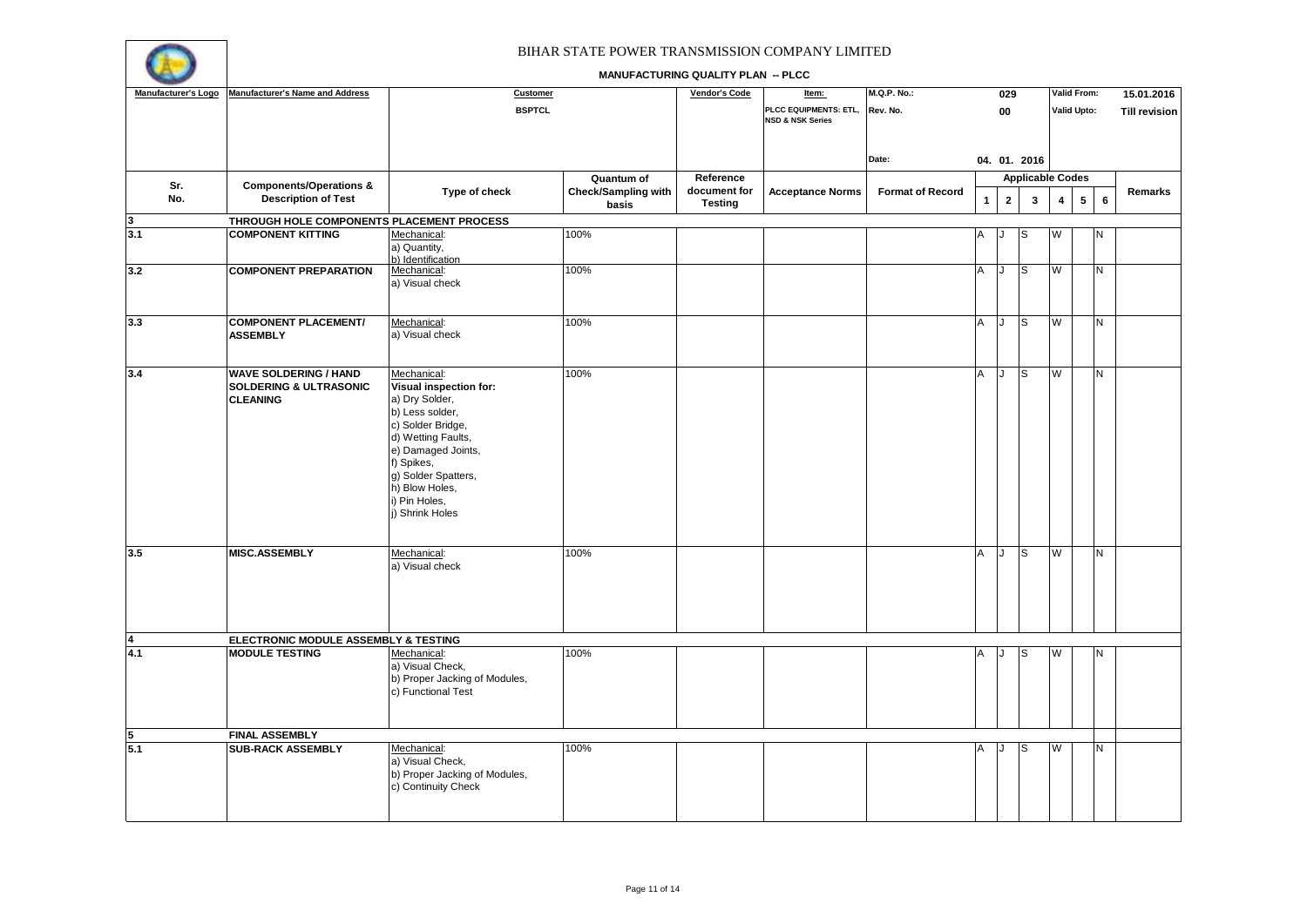

| Manufacturer's Logo     | <b>Manufacturer's Name and Address</b>                                               | Customer                                                                                                                                                                                                                                      |                                     | <b>Vendor's Code</b>           | Item:                                                | <b>M.Q.P. No.:</b>      |              | 029                     |                         |                         | Valid From:    | 15.01.2016                |
|-------------------------|--------------------------------------------------------------------------------------|-----------------------------------------------------------------------------------------------------------------------------------------------------------------------------------------------------------------------------------------------|-------------------------------------|--------------------------------|------------------------------------------------------|-------------------------|--------------|-------------------------|-------------------------|-------------------------|----------------|---------------------------|
|                         |                                                                                      | <b>BSPTCL</b>                                                                                                                                                                                                                                 |                                     |                                | PLCC EQUIPMENTS: ETL,<br><b>NSD &amp; NSK Series</b> | Rev. No.                |              | 00                      |                         |                         | Valid Upto:    | <b>Till revision</b>      |
|                         |                                                                                      |                                                                                                                                                                                                                                               |                                     |                                |                                                      | Date:                   |              |                         | 04. 01. 2016            |                         |                |                           |
|                         |                                                                                      |                                                                                                                                                                                                                                               | Quantum of                          | Reference                      |                                                      |                         |              |                         | <b>Applicable Codes</b> |                         |                |                           |
| Sr.<br>No.              | <b>Components/Operations &amp;</b><br><b>Description of Test</b>                     | Type of check                                                                                                                                                                                                                                 | <b>Check/Sampling with</b><br>basis | document for<br><b>Testing</b> | <b>Acceptance Norms</b>                              | <b>Format of Record</b> | $\mathbf{1}$ | $\overline{\mathbf{2}}$ | $\mathbf{3}$            | $\overline{\mathbf{4}}$ | $5\phantom{a}$ | Remarks<br>$6\phantom{a}$ |
| $\overline{\mathbf{3}}$ | THROUGH HOLE COMPONENTS PLACEMENT PROCESS                                            |                                                                                                                                                                                                                                               |                                     |                                |                                                      |                         |              |                         |                         |                         |                |                           |
| 3.1                     | <b>COMPONENT KITTING</b>                                                             | Mechanical:<br>a) Quantity,<br>b) Identification                                                                                                                                                                                              | 100%                                |                                |                                                      |                         |              |                         |                         | W                       |                |                           |
| 3.2                     | <b>COMPONENT PREPARATION</b>                                                         | Mechanical:<br>a) Visual check                                                                                                                                                                                                                | 100%                                |                                |                                                      |                         | A            | IJ                      | S                       | W                       | N              |                           |
| 3.3                     | <b>COMPONENT PLACEMENT/</b><br><b>ASSEMBLY</b>                                       | Mechanical:<br>a) Visual check                                                                                                                                                                                                                | 100%                                |                                |                                                      |                         | Α            | J                       | S                       | W                       | N              |                           |
| 3.4                     | <b>WAVE SOLDERING / HAND</b><br><b>SOLDERING &amp; ULTRASONIC</b><br><b>CLEANING</b> | Mechanical:<br><b>Visual inspection for:</b><br>a) Dry Solder,<br>b) Less solder,<br>c) Solder Bridge,<br>d) Wetting Faults,<br>e) Damaged Joints,<br>f) Spikes,<br>g) Solder Spatters,<br>h) Blow Holes,<br>i) Pin Holes,<br>j) Shrink Holes | 100%                                |                                |                                                      |                         | Α            | J                       | S                       | W                       | N              |                           |
| 3.5                     | <b>MISC.ASSEMBLY</b>                                                                 | Mechanical:<br>a) Visual check                                                                                                                                                                                                                | 100%                                |                                |                                                      |                         | A            | IJ                      | lS.                     | W                       | N.             |                           |
| $\overline{\mathbf{4}}$ | ELECTRONIC MODULE ASSEMBLY & TESTING                                                 |                                                                                                                                                                                                                                               |                                     |                                |                                                      |                         |              |                         |                         |                         |                |                           |
| 4.1                     | <b>MODULE TESTING</b>                                                                | Mechanical:<br>a) Visual Check,<br>b) Proper Jacking of Modules,<br>c) Functional Test                                                                                                                                                        | 100%                                |                                |                                                      |                         | А            |                         | lS.                     | W                       | N              |                           |
| 5                       | <b>FINAL ASSEMBLY</b>                                                                |                                                                                                                                                                                                                                               |                                     |                                |                                                      |                         |              |                         |                         |                         |                |                           |
| 5.1                     | <b>SUB-RACK ASSEMBLY</b>                                                             | Mechanical:<br>a) Visual Check,<br>b) Proper Jacking of Modules,<br>c) Continuity Check                                                                                                                                                       | 100%                                |                                |                                                      |                         | A            |                         | lS                      | W                       | N              |                           |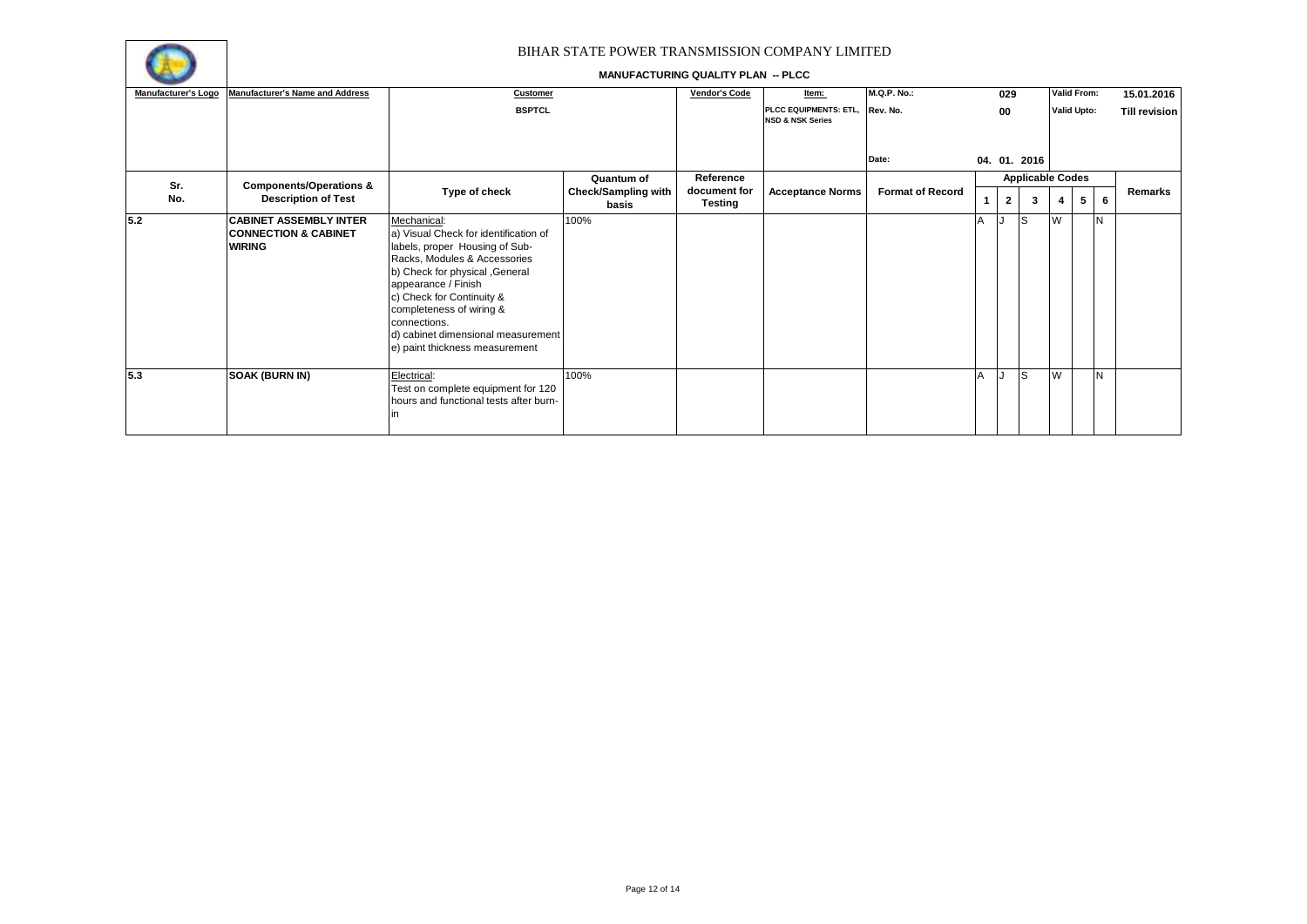

| Manufacturer's Logo | <b>Manufacturer's Name and Address</b>                                            | Customer                                                                                                                                                                                                                                                                                                                          |                                     | <b>Vendor's Code</b>           | Item:                                                         | <b>M.Q.P. No.:</b>      | 029          |                         |           | <b>Valid From:</b> |   | 15.01.2016           |
|---------------------|-----------------------------------------------------------------------------------|-----------------------------------------------------------------------------------------------------------------------------------------------------------------------------------------------------------------------------------------------------------------------------------------------------------------------------------|-------------------------------------|--------------------------------|---------------------------------------------------------------|-------------------------|--------------|-------------------------|-----------|--------------------|---|----------------------|
|                     |                                                                                   | <b>BSPTCL</b>                                                                                                                                                                                                                                                                                                                     |                                     |                                | PLCC EQUIPMENTS: ETL, Rev. No.<br><b>NSD &amp; NSK Series</b> |                         | 00           |                         |           | <b>Valid Upto:</b> |   | <b>Till revision</b> |
|                     |                                                                                   |                                                                                                                                                                                                                                                                                                                                   |                                     |                                |                                                               | Date:                   |              | 04. 01. 2016            |           |                    |   |                      |
| Sr.                 | <b>Components/Operations &amp;</b>                                                |                                                                                                                                                                                                                                                                                                                                   | Quantum of                          | Reference                      |                                                               |                         |              | <b>Applicable Codes</b> |           |                    |   |                      |
| No.                 | <b>Description of Test</b>                                                        | Type of check                                                                                                                                                                                                                                                                                                                     | <b>Check/Sampling with</b><br>basis | document for<br><b>Testing</b> | <b>Acceptance Norms</b>                                       | <b>Format of Record</b> | $\mathbf{2}$ | 3                       |           | 5                  | 6 | Remarks              |
| 5.2                 | <b>CABINET ASSEMBLY INTER</b><br><b>CONNECTION &amp; CABINET</b><br><b>WIRING</b> | Mechanical:<br>a) Visual Check for identification of<br>labels, proper Housing of Sub-<br>Racks, Modules & Accessories<br>b) Check for physical , General<br>appearance / Finish<br>c) Check for Continuity &<br>completeness of wiring &<br>connections.<br>d) cabinet dimensional measurement<br>e) paint thickness measurement | 100%                                |                                |                                                               |                         |              | lS                      | <b>IW</b> |                    | N |                      |
| 5.3                 | <b>SOAK (BURN IN)</b>                                                             | Electrical:<br>Test on complete equipment for 120<br>hours and functional tests after burn-                                                                                                                                                                                                                                       | 100%                                |                                |                                                               |                         |              | lS                      | W         |                    | N |                      |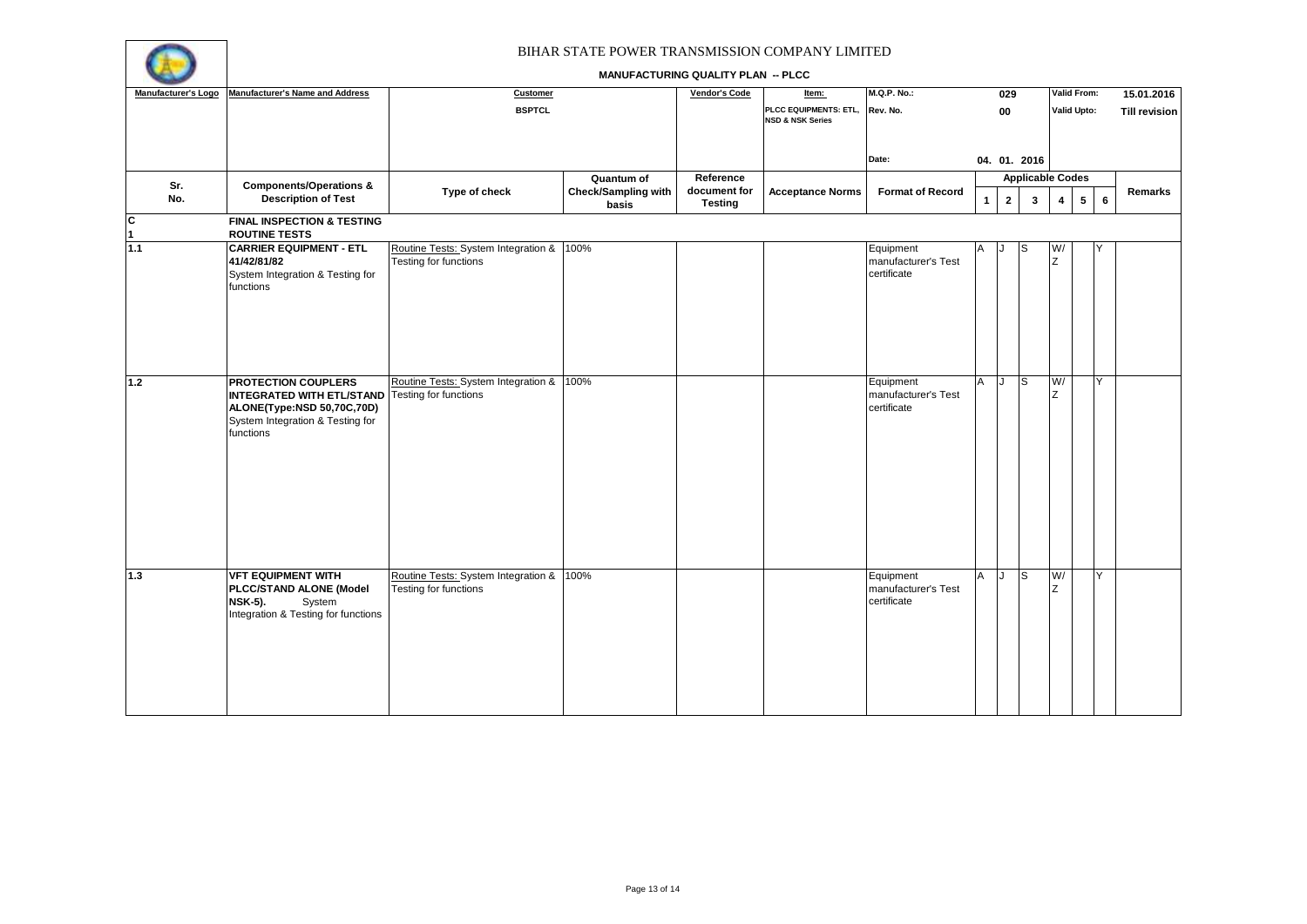

| Manufacturer's Logo              | Manufacturer's Name and Address                               | Customer                                 |                              | <b>Vendor's Code</b>           | Item:                                                | <b>M.Q.P. No.:</b>                 |              | 029            |                         |                         | Valid From:        |                | 15.01.2016           |
|----------------------------------|---------------------------------------------------------------|------------------------------------------|------------------------------|--------------------------------|------------------------------------------------------|------------------------------------|--------------|----------------|-------------------------|-------------------------|--------------------|----------------|----------------------|
|                                  |                                                               | <b>BSPTCL</b>                            |                              |                                | PLCC EQUIPMENTS: ETL,<br><b>NSD &amp; NSK Series</b> | Rev. No.                           |              | 00             |                         |                         | <b>Valid Upto:</b> |                | <b>Till revision</b> |
|                                  |                                                               |                                          |                              |                                |                                                      |                                    |              |                |                         |                         |                    |                |                      |
|                                  |                                                               |                                          |                              |                                |                                                      | Date:                              |              |                | 04. 01. 2016            |                         |                    |                |                      |
| Sr.                              | <b>Components/Operations &amp;</b>                            |                                          | Quantum of                   | Reference                      |                                                      |                                    |              |                | <b>Applicable Codes</b> |                         |                    |                |                      |
| No.                              | <b>Description of Test</b>                                    | Type of check                            | Check/Sampling with<br>basis | document for<br><b>Testing</b> | <b>Acceptance Norms</b>                              | <b>Format of Record</b>            | $\mathbf{1}$ | $\overline{2}$ | $\mathbf{3}$            | $\overline{\mathbf{4}}$ | $5\overline{5}$    | $6\phantom{a}$ | Remarks              |
| $\overline{c}$<br>$\overline{1}$ | <b>FINAL INSPECTION &amp; TESTING</b><br><b>ROUTINE TESTS</b> |                                          |                              |                                |                                                      |                                    |              |                |                         |                         |                    |                |                      |
| 1.1                              | <b>CARRIER EQUIPMENT - ETL</b>                                | Routine Tests: System Integration & 100% |                              |                                |                                                      | Equipment                          |              |                |                         | W/                      |                    |                |                      |
|                                  | 41/42/81/82                                                   | Testing for functions                    |                              |                                |                                                      | manufacturer's Test                |              |                |                         | z                       |                    |                |                      |
|                                  | System Integration & Testing for                              |                                          |                              |                                |                                                      | certificate                        |              |                |                         |                         |                    |                |                      |
|                                  | functions                                                     |                                          |                              |                                |                                                      |                                    |              |                |                         |                         |                    |                |                      |
|                                  |                                                               |                                          |                              |                                |                                                      |                                    |              |                |                         |                         |                    |                |                      |
|                                  |                                                               |                                          |                              |                                |                                                      |                                    |              |                |                         |                         |                    |                |                      |
|                                  |                                                               |                                          |                              |                                |                                                      |                                    |              |                |                         |                         |                    |                |                      |
|                                  |                                                               |                                          |                              |                                |                                                      |                                    |              |                |                         |                         |                    |                |                      |
|                                  |                                                               |                                          |                              |                                |                                                      |                                    |              |                |                         |                         |                    |                |                      |
| 1.2                              | <b>PROTECTION COUPLERS</b>                                    | Routine Tests: System Integration & 100% |                              |                                |                                                      | Equipment                          | A            | IJ             | <b>S</b>                | W/                      |                    | Y              |                      |
|                                  | <b>INTEGRATED WITH ETL/STAND</b> Testing for functions        |                                          |                              |                                |                                                      | manufacturer's Test                |              |                |                         | Z                       |                    |                |                      |
|                                  | ALONE(Type:NSD 50,70C,70D)                                    |                                          |                              |                                |                                                      | certificate                        |              |                |                         |                         |                    |                |                      |
|                                  | System Integration & Testing for<br>functions                 |                                          |                              |                                |                                                      |                                    |              |                |                         |                         |                    |                |                      |
|                                  |                                                               |                                          |                              |                                |                                                      |                                    |              |                |                         |                         |                    |                |                      |
|                                  |                                                               |                                          |                              |                                |                                                      |                                    |              |                |                         |                         |                    |                |                      |
|                                  |                                                               |                                          |                              |                                |                                                      |                                    |              |                |                         |                         |                    |                |                      |
|                                  |                                                               |                                          |                              |                                |                                                      |                                    |              |                |                         |                         |                    |                |                      |
|                                  |                                                               |                                          |                              |                                |                                                      |                                    |              |                |                         |                         |                    |                |                      |
|                                  |                                                               |                                          |                              |                                |                                                      |                                    |              |                |                         |                         |                    |                |                      |
|                                  |                                                               |                                          |                              |                                |                                                      |                                    |              |                |                         |                         |                    |                |                      |
|                                  |                                                               |                                          |                              |                                |                                                      |                                    |              |                |                         |                         |                    |                |                      |
|                                  |                                                               |                                          |                              |                                |                                                      |                                    |              |                |                         |                         |                    |                |                      |
| $\overline{1.3}$                 | <b>VFT EQUIPMENT WITH</b>                                     | Routine Tests: System Integration &      | 100%                         |                                |                                                      | Equipment                          | A            | IJ             | l S                     | W/                      |                    | Y              |                      |
|                                  | PLCC/STAND ALONE (Model<br><b>NSK-5).</b>                     | Testing for functions                    |                              |                                |                                                      | manufacturer's Test<br>certificate |              |                |                         | Z                       |                    |                |                      |
|                                  | System<br>Integration & Testing for functions                 |                                          |                              |                                |                                                      |                                    |              |                |                         |                         |                    |                |                      |
|                                  |                                                               |                                          |                              |                                |                                                      |                                    |              |                |                         |                         |                    |                |                      |
|                                  |                                                               |                                          |                              |                                |                                                      |                                    |              |                |                         |                         |                    |                |                      |
|                                  |                                                               |                                          |                              |                                |                                                      |                                    |              |                |                         |                         |                    |                |                      |
|                                  |                                                               |                                          |                              |                                |                                                      |                                    |              |                |                         |                         |                    |                |                      |
|                                  |                                                               |                                          |                              |                                |                                                      |                                    |              |                |                         |                         |                    |                |                      |
|                                  |                                                               |                                          |                              |                                |                                                      |                                    |              |                |                         |                         |                    |                |                      |
|                                  |                                                               |                                          |                              |                                |                                                      |                                    |              |                |                         |                         |                    |                |                      |